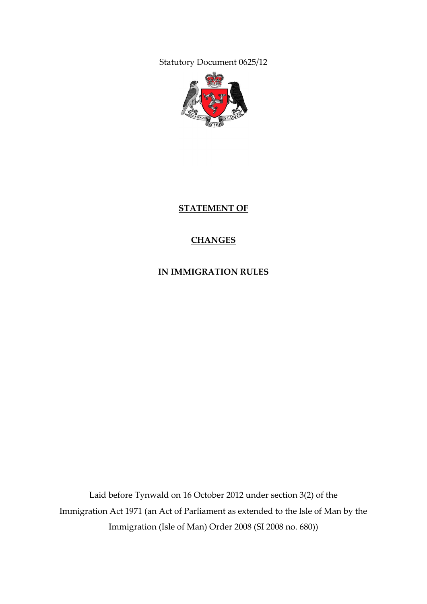Statutory Document 0625/12



**STATEMENT OF**

### **CHANGES**

**IN IMMIGRATION RULES**

Laid before Tynwald on 16 October 2012 under section 3(2) of the Immigration Act 1971 (an Act of Parliament as extended to the Isle of Man by the Immigration (Isle of Man) Order 2008 (SI 2008 no. 680))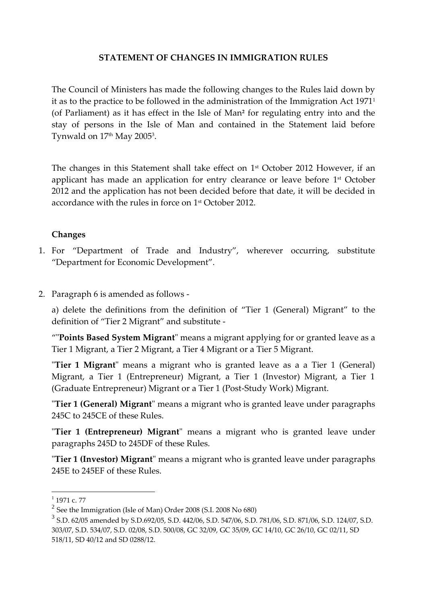#### **STATEMENT OF CHANGES IN IMMIGRATION RULES**

The Council of Ministers has made the following changes to the Rules laid down by it as to the practice to be followed in the administration of the Immigration Act 1971<sup>1</sup> (of Parliament) as it has effect in the Isle of Man**<sup>2</sup>** for regulating entry into and the stay of persons in the Isle of Man and contained in the Statement laid before Tynwald on 17th May 2005<sup>3</sup>.

The changes in this Statement shall take effect on 1 st October 2012 However, if an applicant has made an application for entry clearance or leave before 1 st October 2012 and the application has not been decided before that date, it will be decided in accordance with the rules in force on 1 st October 2012.

#### **Changes**

- 1. For "Department of Trade and Industry", wherever occurring, substitute "Department for Economic Development".
- 2. Paragraph 6 is amended as follows -

a) delete the definitions from the definition of "Tier 1 (General) Migrant" to the definition of "Tier 2 Migrant" and substitute -

""**Points Based System Migrant**" means a migrant applying for or granted leave as a Tier 1 Migrant, a Tier 2 Migrant, a Tier 4 Migrant or a Tier 5 Migrant.

"**Tier 1 Migrant**" means a migrant who is granted leave as a a Tier 1 (General) Migrant, a Tier 1 (Entrepreneur) Migrant, a Tier 1 (Investor) Migrant, a Tier 1 (Graduate Entrepreneur) Migrant or a Tier 1 (Post-Study Work) Migrant.

"**Tier 1 (General) Migrant**" means a migrant who is granted leave under paragraphs 245C to 245CE of these Rules.

"**Tier 1 (Entrepreneur) Migrant**" means a migrant who is granted leave under paragraphs 245D to 245DF of these Rules.

"**Tier 1 (Investor) Migrant**" means a migrant who is granted leave under paragraphs 245E to 245EF of these Rules.

 $\frac{1}{1}$  1971 c. 77

 $2^{2}$  See the Immigration (Isle of Man) Order 2008 (S.I. 2008 No 680)

<sup>3</sup> S.D. 62/05 amended by S.D.692/05, S.D. 442/06, S.D. 547/06, S.D. 781/06, S.D. 871/06, S.D. 124/07, S.D. 303/07, S.D. 534/07, S.D. 02/08, S.D. 500/08, GC 32/09, GC 35/09, GC 14/10, GC 26/10, GC 02/11, SD 518/11, SD 40/12 and SD 0288/12.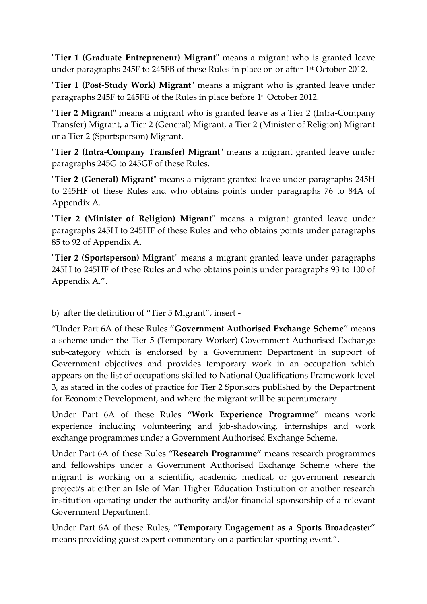"**Tier 1 (Graduate Entrepreneur) Migrant**" means a migrant who is granted leave under paragraphs 245F to 245FB of these Rules in place on or after 1 st October 2012.

"**Tier 1 (Post-Study Work) Migrant**" means a migrant who is granted leave under paragraphs 245F to 245FE of the Rules in place before 1 st October 2012.

"**Tier 2 Migrant**" means a migrant who is granted leave as a Tier 2 (Intra-Company Transfer) Migrant, a Tier 2 (General) Migrant, a Tier 2 (Minister of Religion) Migrant or a Tier 2 (Sportsperson) Migrant.

"**Tier 2 (Intra-Company Transfer) Migrant**" means a migrant granted leave under paragraphs 245G to 245GF of these Rules.

"**Tier 2 (General) Migrant**" means a migrant granted leave under paragraphs 245H to 245HF of these Rules and who obtains points under paragraphs 76 to 84A of Appendix A.

"**Tier 2 (Minister of Religion) Migrant**" means a migrant granted leave under paragraphs 245H to 245HF of these Rules and who obtains points under paragraphs 85 to 92 of Appendix A.

"**Tier 2 (Sportsperson) Migrant**" means a migrant granted leave under paragraphs 245H to 245HF of these Rules and who obtains points under paragraphs 93 to 100 of Appendix A.".

b) after the definition of "Tier 5 Migrant", insert -

"Under Part 6A of these Rules "**Government Authorised Exchange Scheme**" means a scheme under the Tier 5 (Temporary Worker) Government Authorised Exchange sub-category which is endorsed by a Government Department in support of Government objectives and provides temporary work in an occupation which appears on the list of occupations skilled to National Qualifications Framework level 3, as stated in the codes of practice for Tier 2 Sponsors published by the Department for Economic Development, and where the migrant will be supernumerary.

Under Part 6A of these Rules **"Work Experience Programme**" means work experience including volunteering and job-shadowing, internships and work exchange programmes under a Government Authorised Exchange Scheme.

Under Part 6A of these Rules "**Research Programme"** means research programmes and fellowships under a Government Authorised Exchange Scheme where the migrant is working on a scientific, academic, medical, or government research project/s at either an Isle of Man Higher Education Institution or another research institution operating under the authority and/or financial sponsorship of a relevant Government Department.

Under Part 6A of these Rules, "**Temporary Engagement as a Sports Broadcaster**" means providing guest expert commentary on a particular sporting event.".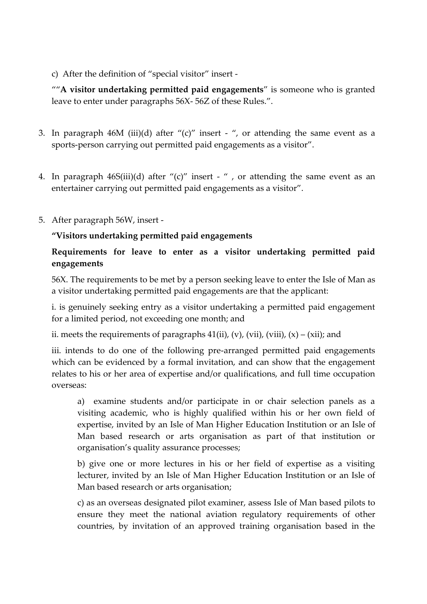c) After the definition of "special visitor" insert -

""**A visitor undertaking permitted paid engagements**" is someone who is granted leave to enter under paragraphs 56X- 56Z of these Rules.".

- 3. In paragraph 46M (iii)(d) after " $(c)$ " insert ", or attending the same event as a sports-person carrying out permitted paid engagements as a visitor".
- 4. In paragraph 46S(iii)(d) after "(c)" insert " , or attending the same event as an entertainer carrying out permitted paid engagements as a visitor".
- 5. After paragraph 56W, insert -

### **"Visitors undertaking permitted paid engagements**

### **Requirements for leave to enter as a visitor undertaking permitted paid engagements**

56X. The requirements to be met by a person seeking leave to enter the Isle of Man as a visitor undertaking permitted paid engagements are that the applicant:

i. is genuinely seeking entry as a visitor undertaking a permitted paid engagement for a limited period, not exceeding one month; and

ii. meets the requirements of paragraphs  $41(ii)$ , (v), (vii), (viii), (x) – (xii); and

iii. intends to do one of the following pre-arranged permitted paid engagements which can be evidenced by a formal invitation, and can show that the engagement relates to his or her area of expertise and/or qualifications, and full time occupation overseas:

a) examine students and/or participate in or chair selection panels as a visiting academic, who is highly qualified within his or her own field of expertise, invited by an Isle of Man Higher Education Institution or an Isle of Man based research or arts organisation as part of that institution or organisation's quality assurance processes;

b) give one or more lectures in his or her field of expertise as a visiting lecturer, invited by an Isle of Man Higher Education Institution or an Isle of Man based research or arts organisation;

c) as an overseas designated pilot examiner, assess Isle of Man based pilots to ensure they meet the national aviation regulatory requirements of other countries, by invitation of an approved training organisation based in the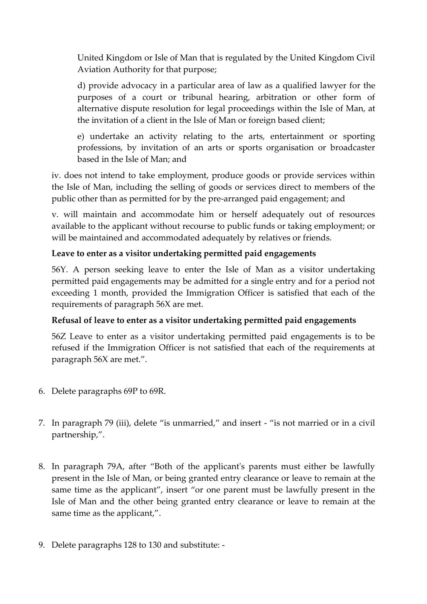United Kingdom or Isle of Man that is regulated by the United Kingdom Civil Aviation Authority for that purpose;

d) provide advocacy in a particular area of law as a qualified lawyer for the purposes of a court or tribunal hearing, arbitration or other form of alternative dispute resolution for legal proceedings within the Isle of Man, at the invitation of a client in the Isle of Man or foreign based client;

e) undertake an activity relating to the arts, entertainment or sporting professions, by invitation of an arts or sports organisation or broadcaster based in the Isle of Man; and

iv. does not intend to take employment, produce goods or provide services within the Isle of Man, including the selling of goods or services direct to members of the public other than as permitted for by the pre-arranged paid engagement; and

v. will maintain and accommodate him or herself adequately out of resources available to the applicant without recourse to public funds or taking employment; or will be maintained and accommodated adequately by relatives or friends.

# **Leave to enter as a visitor undertaking permitted paid engagements**

56Y. A person seeking leave to enter the Isle of Man as a visitor undertaking permitted paid engagements may be admitted for a single entry and for a period not exceeding 1 month, provided the Immigration Officer is satisfied that each of the requirements of paragraph 56X are met.

### **Refusal of leave to enter as a visitor undertaking permitted paid engagements**

56Z Leave to enter as a visitor undertaking permitted paid engagements is to be refused if the Immigration Officer is not satisfied that each of the requirements at paragraph 56X are met.".

- 6. Delete paragraphs 69P to 69R.
- 7. In paragraph 79 (iii), delete "is unmarried," and insert "is not married or in a civil partnership,".
- 8. In paragraph 79A, after "Both of the applicant's parents must either be lawfully present in the Isle of Man, or being granted entry clearance or leave to remain at the same time as the applicant", insert "or one parent must be lawfully present in the Isle of Man and the other being granted entry clearance or leave to remain at the same time as the applicant,".
- 9. Delete paragraphs 128 to 130 and substitute: -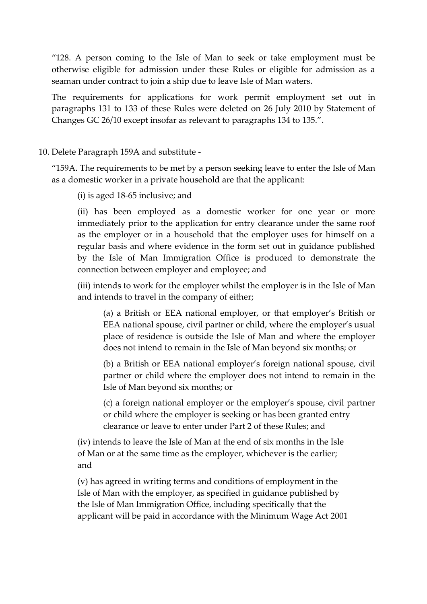"128. A person coming to the Isle of Man to seek or take employment must be otherwise eligible for admission under these Rules or eligible for admission as a seaman under contract to join a ship due to leave Isle of Man waters.

The requirements for applications for work permit employment set out in paragraphs 131 to 133 of these Rules were deleted on 26 July 2010 by Statement of Changes GC 26/10 except insofar as relevant to paragraphs 134 to 135.".

#### 10. Delete Paragraph 159A and substitute -

"159A. The requirements to be met by a person seeking leave to enter the Isle of Man as a domestic worker in a private household are that the applicant:

(i) is aged 18-65 inclusive; and

(ii) has been employed as a domestic worker for one year or more immediately prior to the application for entry clearance under the same roof as the employer or in a household that the employer uses for himself on a regular basis and where evidence in the form set out in guidance published by the Isle of Man Immigration Office is produced to demonstrate the connection between employer and employee; and

(iii) intends to work for the employer whilst the employer is in the Isle of Man and intends to travel in the company of either;

(a) a British or EEA national employer, or that employer's British or EEA national spouse, civil partner or child, where the employer's usual place of residence is outside the Isle of Man and where the employer does not intend to remain in the Isle of Man beyond six months; or

(b) a British or EEA national employer's foreign national spouse, civil partner or child where the employer does not intend to remain in the Isle of Man beyond six months; or

(c) a foreign national employer or the employer's spouse, civil partner or child where the employer is seeking or has been granted entry clearance or leave to enter under Part 2 of these Rules; and

(iv) intends to leave the Isle of Man at the end of six months in the Isle of Man or at the same time as the employer, whichever is the earlier; and

(v) has agreed in writing terms and conditions of employment in the Isle of Man with the employer, as specified in guidance published by the Isle of Man Immigration Office, including specifically that the applicant will be paid in accordance with the Minimum Wage Act 2001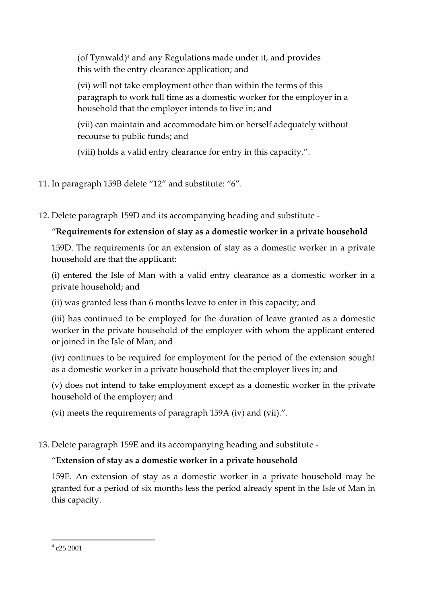(of Tynwald) $4$  and any Regulations made under it, and provides this with the entry clearance application; and

(vi) will not take employment other than within the terms of this paragraph to work full time as a domestic worker for the employer in a household that the employer intends to live in; and

(vii) can maintain and accommodate him or herself adequately without recourse to public funds; and

(viii) holds a valid entry clearance for entry in this capacity.".

11. In paragraph 159B delete "12" and substitute: "6".

12. Delete paragraph 159D and its accompanying heading and substitute -

# "**Requirements for extension of stay as a domestic worker in a private household**

159D. The requirements for an extension of stay as a domestic worker in a private household are that the applicant:

(i) entered the Isle of Man with a valid entry clearance as a domestic worker in a private household; and

(ii) was granted less than 6 months leave to enter in this capacity; and

(iii) has continued to be employed for the duration of leave granted as a domestic worker in the private household of the employer with whom the applicant entered or joined in the Isle of Man; and

(iv) continues to be required for employment for the period of the extension sought as a domestic worker in a private household that the employer lives in; and

(v) does not intend to take employment except as a domestic worker in the private household of the employer; and

(vi) meets the requirements of paragraph 159A (iv) and (vii).".

13. Delete paragraph 159E and its accompanying heading and substitute -

# "**Extension of stay as a domestic worker in a private household**

159E. An extension of stay as a domestic worker in a private household may be granted for a period of six months less the period already spent in the Isle of Man in this capacity.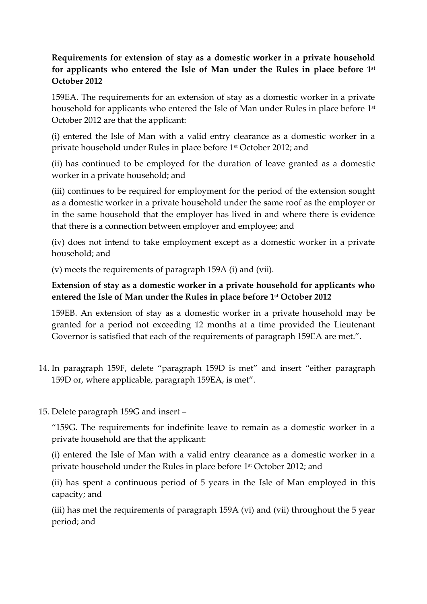# **Requirements for extension of stay as a domestic worker in a private household for applicants who entered the Isle of Man under the Rules in place before 1 st October 2012**

159EA. The requirements for an extension of stay as a domestic worker in a private household for applicants who entered the Isle of Man under Rules in place before 1st October 2012 are that the applicant:

(i) entered the Isle of Man with a valid entry clearance as a domestic worker in a private household under Rules in place before 1 st October 2012; and

(ii) has continued to be employed for the duration of leave granted as a domestic worker in a private household; and

(iii) continues to be required for employment for the period of the extension sought as a domestic worker in a private household under the same roof as the employer or in the same household that the employer has lived in and where there is evidence that there is a connection between employer and employee; and

(iv) does not intend to take employment except as a domestic worker in a private household; and

(v) meets the requirements of paragraph 159A (i) and (vii).

# **Extension of stay as a domestic worker in a private household for applicants who entered the Isle of Man under the Rules in place before 1 st October 2012**

159EB. An extension of stay as a domestic worker in a private household may be granted for a period not exceeding 12 months at a time provided the Lieutenant Governor is satisfied that each of the requirements of paragraph 159EA are met.".

- 14. In paragraph 159F, delete "paragraph 159D is met" and insert "either paragraph 159D or, where applicable, paragraph 159EA, is met".
- 15. Delete paragraph 159G and insert –

"159G. The requirements for indefinite leave to remain as a domestic worker in a private household are that the applicant:

(i) entered the Isle of Man with a valid entry clearance as a domestic worker in a private household under the Rules in place before 1 st October 2012; and

(ii) has spent a continuous period of 5 years in the Isle of Man employed in this capacity; and

(iii) has met the requirements of paragraph 159A (vi) and (vii) throughout the 5 year period; and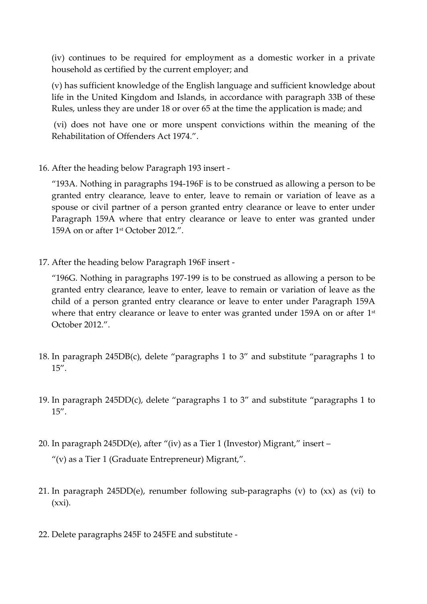(iv) continues to be required for employment as a domestic worker in a private household as certified by the current employer; and

(v) has sufficient knowledge of the English language and sufficient knowledge about life in the United Kingdom and Islands, in accordance with paragraph 33B of these Rules, unless they are under 18 or over 65 at the time the application is made; and

(vi) does not have one or more unspent convictions within the meaning of the Rehabilitation of Offenders Act 1974.".

16. After the heading below Paragraph 193 insert -

"193A. Nothing in paragraphs 194-196F is to be construed as allowing a person to be granted entry clearance, leave to enter, leave to remain or variation of leave as a spouse or civil partner of a person granted entry clearance or leave to enter under Paragraph 159A where that entry clearance or leave to enter was granted under 159A on or after  $1<sup>st</sup>$  October 2012.".

17. After the heading below Paragraph 196F insert -

"196G. Nothing in paragraphs 197-199 is to be construed as allowing a person to be granted entry clearance, leave to enter, leave to remain or variation of leave as the child of a person granted entry clearance or leave to enter under Paragraph 159A where that entry clearance or leave to enter was granted under 159A on or after  $1^\text{st}$ October 2012.".

- 18. In paragraph 245DB(c), delete "paragraphs 1 to 3" and substitute "paragraphs 1 to 15".
- 19. In paragraph 245DD(c), delete "paragraphs 1 to 3" and substitute "paragraphs 1 to 15".
- 20. In paragraph 245DD(e), after "(iv) as a Tier 1 (Investor) Migrant," insert "(v) as a Tier 1 (Graduate Entrepreneur) Migrant,".
- 21. In paragraph 245DD(e), renumber following sub-paragraphs (v) to (xx) as (vi) to  $(xxi).$
- 22. Delete paragraphs 245F to 245FE and substitute -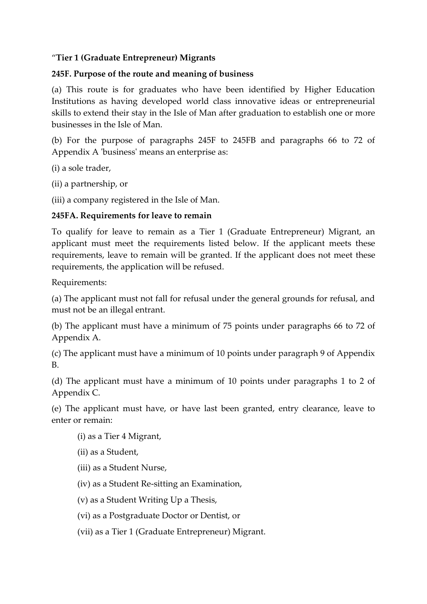### "**Tier 1 (Graduate Entrepreneur) Migrants**

#### **245F. Purpose of the route and meaning of business**

(a) This route is for graduates who have been identified by Higher Education Institutions as having developed world class innovative ideas or entrepreneurial skills to extend their stay in the Isle of Man after graduation to establish one or more businesses in the Isle of Man.

(b) For the purpose of paragraphs 245F to 245FB and paragraphs 66 to 72 of Appendix A 'business' means an enterprise as:

(i) a sole trader,

(ii) a partnership, or

(iii) a company registered in the Isle of Man.

### **245FA. Requirements for leave to remain**

To qualify for leave to remain as a Tier 1 (Graduate Entrepreneur) Migrant, an applicant must meet the requirements listed below. If the applicant meets these requirements, leave to remain will be granted. If the applicant does not meet these requirements, the application will be refused.

Requirements:

(a) The applicant must not fall for refusal under the general grounds for refusal, and must not be an illegal entrant.

(b) The applicant must have a minimum of 75 points under paragraphs 66 to 72 of Appendix A.

(c) The applicant must have a minimum of 10 points under paragraph 9 of Appendix B.

(d) The applicant must have a minimum of 10 points under paragraphs 1 to 2 of Appendix C.

(e) The applicant must have, or have last been granted, entry clearance, leave to enter or remain:

(i) as a Tier 4 Migrant,

(ii) as a Student,

- (iii) as a Student Nurse,
- (iv) as a Student Re-sitting an Examination,
- (v) as a Student Writing Up a Thesis,
- (vi) as a Postgraduate Doctor or Dentist, or
- (vii) as a Tier 1 (Graduate Entrepreneur) Migrant.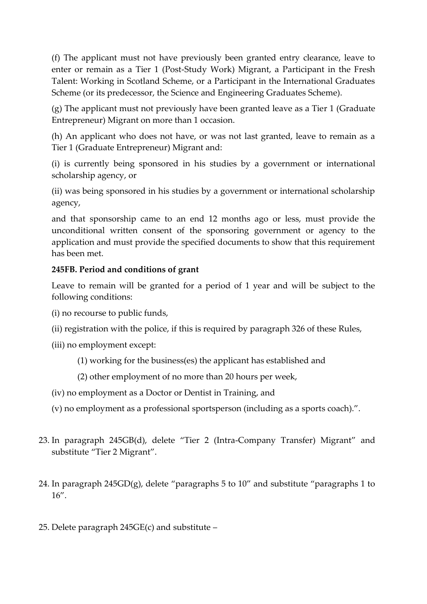(f) The applicant must not have previously been granted entry clearance, leave to enter or remain as a Tier 1 (Post-Study Work) Migrant, a Participant in the Fresh Talent: Working in Scotland Scheme, or a Participant in the International Graduates Scheme (or its predecessor, the Science and Engineering Graduates Scheme).

(g) The applicant must not previously have been granted leave as a Tier 1 (Graduate Entrepreneur) Migrant on more than 1 occasion.

(h) An applicant who does not have, or was not last granted, leave to remain as a Tier 1 (Graduate Entrepreneur) Migrant and:

(i) is currently being sponsored in his studies by a government or international scholarship agency, or

(ii) was being sponsored in his studies by a government or international scholarship agency,

and that sponsorship came to an end 12 months ago or less, must provide the unconditional written consent of the sponsoring government or agency to the application and must provide the specified documents to show that this requirement has been met.

# **245FB. Period and conditions of grant**

Leave to remain will be granted for a period of 1 year and will be subject to the following conditions:

- (i) no recourse to public funds,
- (ii) registration with the police, if this is required by paragraph 326 of these Rules,
- (iii) no employment except:
	- (1) working for the business(es) the applicant has established and
	- (2) other employment of no more than 20 hours per week,
- (iv) no employment as a Doctor or Dentist in Training, and
- (v) no employment as a professional sportsperson (including as a sports coach).".
- 23. In paragraph 245GB(d), delete "Tier 2 (Intra-Company Transfer) Migrant" and substitute "Tier 2 Migrant".
- 24. In paragraph 245GD(g), delete "paragraphs 5 to 10" and substitute "paragraphs 1 to 16".
- 25. Delete paragraph 245GE(c) and substitute –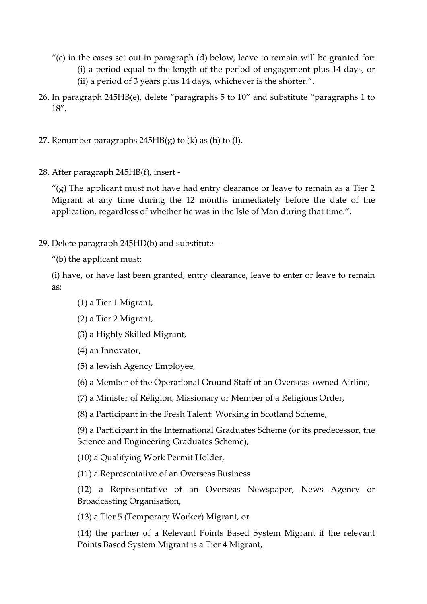- $''(c)$  in the cases set out in paragraph (d) below, leave to remain will be granted for: (i) a period equal to the length of the period of engagement plus 14 days, or (ii) a period of 3 years plus 14 days, whichever is the shorter.".
- 26. In paragraph 245HB(e), delete "paragraphs 5 to 10" and substitute "paragraphs 1 to 18".
- 27. Renumber paragraphs  $245HB(g)$  to (k) as (h) to (l).
- 28. After paragraph 245HB(f), insert -

 $\ell$ (g) The applicant must not have had entry clearance or leave to remain as a Tier 2 Migrant at any time during the 12 months immediately before the date of the application, regardless of whether he was in the Isle of Man during that time.".

29. Delete paragraph 245HD(b) and substitute –

"(b) the applicant must:

(i) have, or have last been granted, entry clearance, leave to enter or leave to remain as:

- (1) a Tier 1 Migrant,
- (2) a Tier 2 Migrant,

(3) a Highly Skilled Migrant,

(4) an Innovator,

- (5) a Jewish Agency Employee,
- (6) a Member of the Operational Ground Staff of an Overseas-owned Airline,
- (7) a Minister of Religion, Missionary or Member of a Religious Order,
- (8) a Participant in the Fresh Talent: Working in Scotland Scheme,

(9) a Participant in the International Graduates Scheme (or its predecessor, the Science and Engineering Graduates Scheme),

(10) a Qualifying Work Permit Holder,

(11) a Representative of an Overseas Business

(12) a Representative of an Overseas Newspaper, News Agency or Broadcasting Organisation,

(13) a Tier 5 (Temporary Worker) Migrant, or

(14) the partner of a Relevant Points Based System Migrant if the relevant Points Based System Migrant is a Tier 4 Migrant,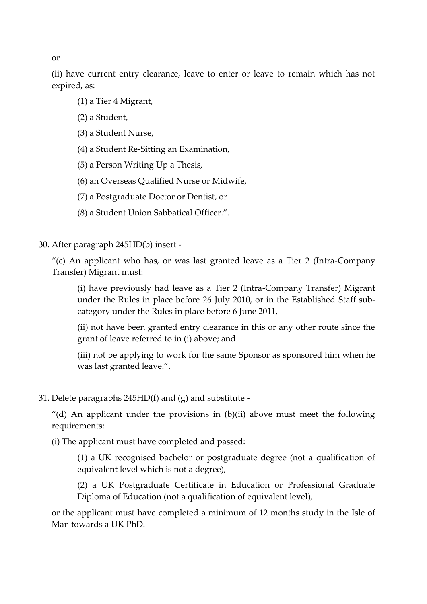(ii) have current entry clearance, leave to enter or leave to remain which has not expired, as:

- (1) a Tier 4 Migrant,
- (2) a Student,
- (3) a Student Nurse,
- (4) a Student Re-Sitting an Examination,
- (5) a Person Writing Up a Thesis,
- (6) an Overseas Qualified Nurse or Midwife,
- (7) a Postgraduate Doctor or Dentist, or
- (8) a Student Union Sabbatical Officer.".
- 30. After paragraph 245HD(b) insert -

"(c) An applicant who has, or was last granted leave as a Tier 2 (Intra-Company Transfer) Migrant must:

(i) have previously had leave as a Tier 2 (Intra-Company Transfer) Migrant under the Rules in place before 26 July 2010, or in the Established Staff subcategory under the Rules in place before 6 June 2011,

(ii) not have been granted entry clearance in this or any other route since the grant of leave referred to in (i) above; and

(iii) not be applying to work for the same Sponsor as sponsored him when he was last granted leave.".

31. Delete paragraphs 245HD(f) and (g) and substitute -

"(d) An applicant under the provisions in  $(b)(ii)$  above must meet the following requirements:

(i) The applicant must have completed and passed:

(1) a UK recognised bachelor or postgraduate degree (not a qualification of equivalent level which is not a degree),

(2) a UK Postgraduate Certificate in Education or Professional Graduate Diploma of Education (not a qualification of equivalent level),

or the applicant must have completed a minimum of 12 months study in the Isle of Man towards a UK PhD.

or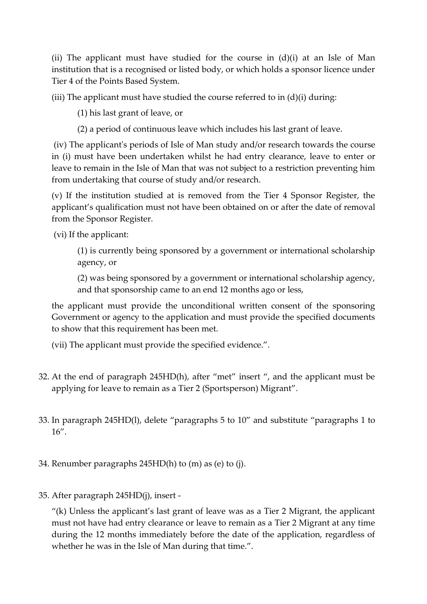(ii) The applicant must have studied for the course in  $(d)(i)$  at an Isle of Man institution that is a recognised or listed body, or which holds a sponsor licence under Tier 4 of the Points Based System.

(iii) The applicant must have studied the course referred to in  $(d)(i)$  during:

(1) his last grant of leave, or

(2) a period of continuous leave which includes his last grant of leave.

(iv) The applicant's periods of Isle of Man study and/or research towards the course in (i) must have been undertaken whilst he had entry clearance, leave to enter or leave to remain in the Isle of Man that was not subject to a restriction preventing him from undertaking that course of study and/or research.

(v) If the institution studied at is removed from the Tier 4 Sponsor Register, the applicant's qualification must not have been obtained on or after the date of removal from the Sponsor Register.

(vi) If the applicant:

(1) is currently being sponsored by a government or international scholarship agency, or

(2) was being sponsored by a government or international scholarship agency, and that sponsorship came to an end 12 months ago or less,

the applicant must provide the unconditional written consent of the sponsoring Government or agency to the application and must provide the specified documents to show that this requirement has been met.

(vii) The applicant must provide the specified evidence.".

- 32. At the end of paragraph 245HD(h), after "met" insert ", and the applicant must be applying for leave to remain as a Tier 2 (Sportsperson) Migrant".
- 33. In paragraph 245HD(l), delete "paragraphs 5 to 10" and substitute "paragraphs 1 to 16".
- 34. Renumber paragraphs 245HD(h) to (m) as (e) to (j).
- 35. After paragraph 245HD(j), insert -

"(k) Unless the applicant's last grant of leave was as a Tier 2 Migrant, the applicant must not have had entry clearance or leave to remain as a Tier 2 Migrant at any time during the 12 months immediately before the date of the application, regardless of whether he was in the Isle of Man during that time.".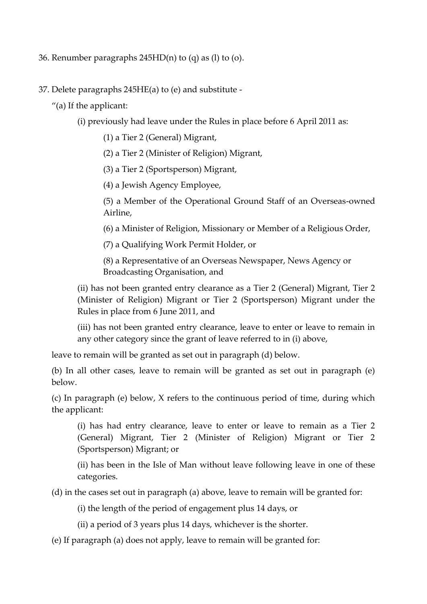- 36. Renumber paragraphs 245HD(n) to (q) as (l) to (o).
- 37. Delete paragraphs 245HE(a) to (e) and substitute
	- "(a) If the applicant:
		- (i) previously had leave under the Rules in place before 6 April 2011 as:
			- (1) a Tier 2 (General) Migrant,
			- (2) a Tier 2 (Minister of Religion) Migrant,
			- (3) a Tier 2 (Sportsperson) Migrant,
			- (4) a Jewish Agency Employee,
			- (5) a Member of the Operational Ground Staff of an Overseas-owned Airline,
			- (6) a Minister of Religion, Missionary or Member of a Religious Order,
			- (7) a Qualifying Work Permit Holder, or
			- (8) a Representative of an Overseas Newspaper, News Agency or Broadcasting Organisation, and
		- (ii) has not been granted entry clearance as a Tier 2 (General) Migrant, Tier 2 (Minister of Religion) Migrant or Tier 2 (Sportsperson) Migrant under the Rules in place from 6 June 2011, and
		- (iii) has not been granted entry clearance, leave to enter or leave to remain in any other category since the grant of leave referred to in (i) above,
	- leave to remain will be granted as set out in paragraph (d) below.
	- (b) In all other cases, leave to remain will be granted as set out in paragraph (e) below.
	- (c) In paragraph (e) below, X refers to the continuous period of time, during which the applicant:
		- (i) has had entry clearance, leave to enter or leave to remain as a Tier 2 (General) Migrant, Tier 2 (Minister of Religion) Migrant or Tier 2 (Sportsperson) Migrant; or
		- (ii) has been in the Isle of Man without leave following leave in one of these categories.
	- (d) in the cases set out in paragraph (a) above, leave to remain will be granted for:
		- (i) the length of the period of engagement plus 14 days, or
		- (ii) a period of 3 years plus 14 days, whichever is the shorter.
	- (e) If paragraph (a) does not apply, leave to remain will be granted for: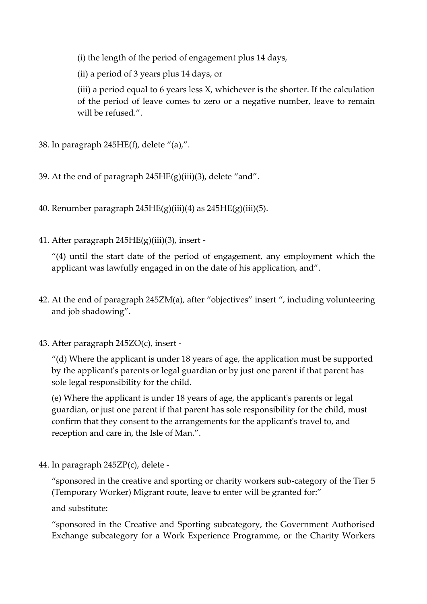(i) the length of the period of engagement plus 14 days,

(ii) a period of 3 years plus 14 days, or

(iii) a period equal to 6 years less X, whichever is the shorter. If the calculation of the period of leave comes to zero or a negative number, leave to remain will be refused.".

- 38. In paragraph 245HE(f), delete "(a),".
- 39. At the end of paragraph  $245HE(g)(iii)(3)$ , delete "and".
- 40. Renumber paragraph  $245HE(g)(iii)(4)$  as  $245HE(g)(iii)(5)$ .
- 41. After paragraph 245HE(g)(iii)(3), insert -

"(4) until the start date of the period of engagement, any employment which the applicant was lawfully engaged in on the date of his application, and".

- 42. At the end of paragraph 245ZM(a), after "objectives" insert ", including volunteering and job shadowing".
- 43. After paragraph 245ZO(c), insert -

 $''$ (d) Where the applicant is under 18 years of age, the application must be supported by the applicant's parents or legal guardian or by just one parent if that parent has sole legal responsibility for the child.

(e) Where the applicant is under 18 years of age, the applicant's parents or legal guardian, or just one parent if that parent has sole responsibility for the child, must confirm that they consent to the arrangements for the applicant's travel to, and reception and care in, the Isle of Man.".

44. In paragraph 245ZP(c), delete -

"sponsored in the creative and sporting or charity workers sub-category of the Tier 5 (Temporary Worker) Migrant route, leave to enter will be granted for:"

and substitute:

"sponsored in the Creative and Sporting subcategory, the Government Authorised Exchange subcategory for a Work Experience Programme, or the Charity Workers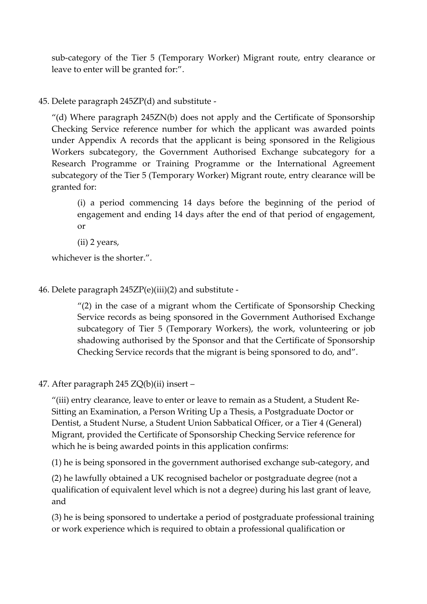sub-category of the Tier 5 (Temporary Worker) Migrant route, entry clearance or leave to enter will be granted for:".

### 45. Delete paragraph 245ZP(d) and substitute -

"(d) Where paragraph 245ZN(b) does not apply and the Certificate of Sponsorship Checking Service reference number for which the applicant was awarded points under Appendix A records that the applicant is being sponsored in the Religious Workers subcategory, the Government Authorised Exchange subcategory for a Research Programme or Training Programme or the International Agreement subcategory of the Tier 5 (Temporary Worker) Migrant route, entry clearance will be granted for:

(i) a period commencing 14 days before the beginning of the period of engagement and ending 14 days after the end of that period of engagement, or

(ii) 2 years,

whichever is the shorter.".

46. Delete paragraph 245ZP(e)(iii)(2) and substitute -

"(2) in the case of a migrant whom the Certificate of Sponsorship Checking Service records as being sponsored in the Government Authorised Exchange subcategory of Tier 5 (Temporary Workers), the work, volunteering or job shadowing authorised by the Sponsor and that the Certificate of Sponsorship Checking Service records that the migrant is being sponsored to do, and".

47. After paragraph 245 ZQ(b)(ii) insert –

"(iii) entry clearance, leave to enter or leave to remain as a Student, a Student Re-Sitting an Examination, a Person Writing Up a Thesis, a Postgraduate Doctor or Dentist, a Student Nurse, a Student Union Sabbatical Officer, or a Tier 4 (General) Migrant, provided the Certificate of Sponsorship Checking Service reference for which he is being awarded points in this application confirms:

(1) he is being sponsored in the government authorised exchange sub-category, and

(2) he lawfully obtained a UK recognised bachelor or postgraduate degree (not a qualification of equivalent level which is not a degree) during his last grant of leave, and

(3) he is being sponsored to undertake a period of postgraduate professional training or work experience which is required to obtain a professional qualification or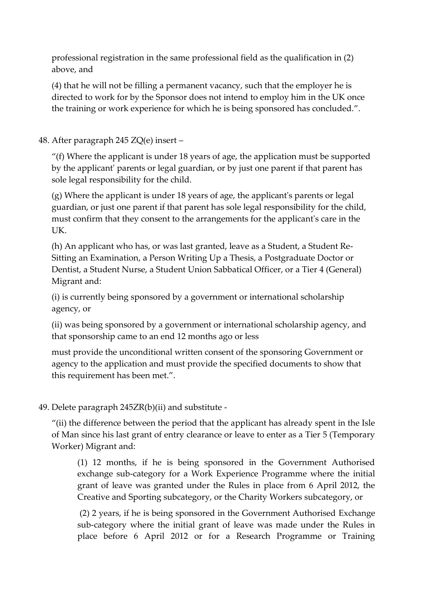professional registration in the same professional field as the qualification in (2) above, and

(4) that he will not be filling a permanent vacancy, such that the employer he is directed to work for by the Sponsor does not intend to employ him in the UK once the training or work experience for which he is being sponsored has concluded.".

48. After paragraph 245 ZQ(e) insert –

 $''(f)$  Where the applicant is under 18 years of age, the application must be supported by the applicant' parents or legal guardian, or by just one parent if that parent has sole legal responsibility for the child.

(g) Where the applicant is under 18 years of age, the applicant's parents or legal guardian, or just one parent if that parent has sole legal responsibility for the child, must confirm that they consent to the arrangements for the applicant's care in the UK.

(h) An applicant who has, or was last granted, leave as a Student, a Student Re-Sitting an Examination, a Person Writing Up a Thesis, a Postgraduate Doctor or Dentist, a Student Nurse, a Student Union Sabbatical Officer, or a Tier 4 (General) Migrant and:

(i) is currently being sponsored by a government or international scholarship agency, or

(ii) was being sponsored by a government or international scholarship agency, and that sponsorship came to an end 12 months ago or less

must provide the unconditional written consent of the sponsoring Government or agency to the application and must provide the specified documents to show that this requirement has been met.".

49. Delete paragraph 245ZR(b)(ii) and substitute -

"(ii) the difference between the period that the applicant has already spent in the Isle of Man since his last grant of entry clearance or leave to enter as a Tier 5 (Temporary Worker) Migrant and:

(1) 12 months, if he is being sponsored in the Government Authorised exchange sub-category for a Work Experience Programme where the initial grant of leave was granted under the Rules in place from 6 April 2012, the Creative and Sporting subcategory, or the Charity Workers subcategory, or

(2) 2 years, if he is being sponsored in the Government Authorised Exchange sub-category where the initial grant of leave was made under the Rules in place before 6 April 2012 or for a Research Programme or Training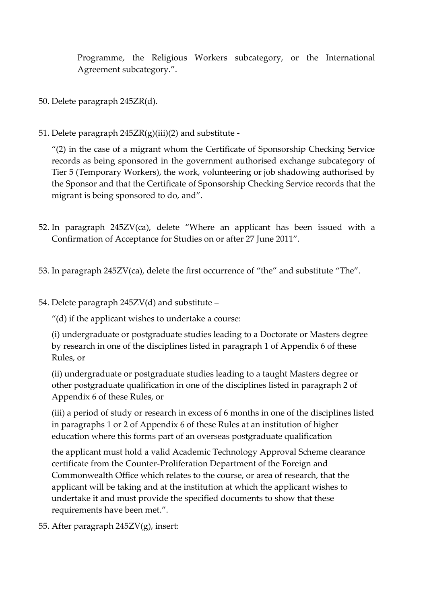Programme, the Religious Workers subcategory, or the International Agreement subcategory.".

- 50. Delete paragraph 245ZR(d).
- 51. Delete paragraph  $245ZR(g)(iii)(2)$  and substitute -

"(2) in the case of a migrant whom the Certificate of Sponsorship Checking Service records as being sponsored in the government authorised exchange subcategory of Tier 5 (Temporary Workers), the work, volunteering or job shadowing authorised by the Sponsor and that the Certificate of Sponsorship Checking Service records that the migrant is being sponsored to do, and".

- 52. In paragraph 245ZV(ca), delete "Where an applicant has been issued with a Confirmation of Acceptance for Studies on or after 27 June 2011".
- 53. In paragraph 245ZV(ca), delete the first occurrence of "the" and substitute "The".
- 54. Delete paragraph 245ZV(d) and substitute –

"(d) if the applicant wishes to undertake a course:

(i) undergraduate or postgraduate studies leading to a Doctorate or Masters degree by research in one of the disciplines listed in paragraph 1 of Appendix 6 of these Rules, or

(ii) undergraduate or postgraduate studies leading to a taught Masters degree or other postgraduate qualification in one of the disciplines listed in paragraph 2 of Appendix 6 of these Rules, or

(iii) a period of study or research in excess of 6 months in one of the disciplines listed in paragraphs 1 or 2 of Appendix 6 of these Rules at an institution of higher education where this forms part of an overseas postgraduate qualification

the applicant must hold a valid Academic Technology Approval Scheme clearance certificate from the Counter-Proliferation Department of the Foreign and Commonwealth Office which relates to the course, or area of research, that the applicant will be taking and at the institution at which the applicant wishes to undertake it and must provide the specified documents to show that these requirements have been met.".

55. After paragraph 245ZV(g), insert: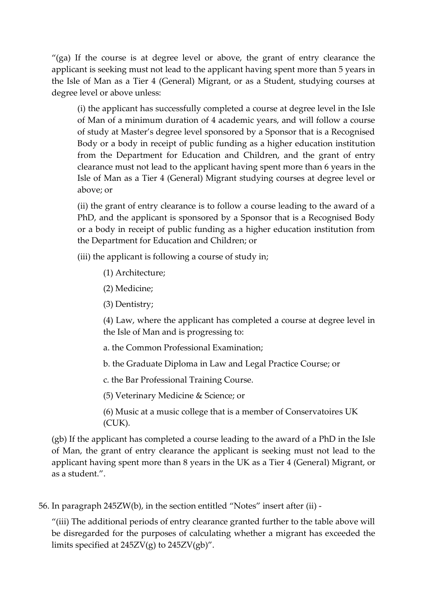"(ga) If the course is at degree level or above, the grant of entry clearance the applicant is seeking must not lead to the applicant having spent more than 5 years in the Isle of Man as a Tier 4 (General) Migrant, or as a Student, studying courses at degree level or above unless:

(i) the applicant has successfully completed a course at degree level in the Isle of Man of a minimum duration of 4 academic years, and will follow a course of study at Master's degree level sponsored by a Sponsor that is a Recognised Body or a body in receipt of public funding as a higher education institution from the Department for Education and Children, and the grant of entry clearance must not lead to the applicant having spent more than 6 years in the Isle of Man as a Tier 4 (General) Migrant studying courses at degree level or above; or

(ii) the grant of entry clearance is to follow a course leading to the award of a PhD, and the applicant is sponsored by a Sponsor that is a Recognised Body or a body in receipt of public funding as a higher education institution from the Department for Education and Children; or

(iii) the applicant is following a course of study in;

- (1) Architecture;
- (2) Medicine;
- (3) Dentistry;

(4) Law, where the applicant has completed a course at degree level in the Isle of Man and is progressing to:

a. the Common Professional Examination;

b. the Graduate Diploma in Law and Legal Practice Course; or

c. the Bar Professional Training Course.

(5) Veterinary Medicine & Science; or

(6) Music at a music college that is a member of Conservatoires UK (CUK).

(gb) If the applicant has completed a course leading to the award of a PhD in the Isle of Man, the grant of entry clearance the applicant is seeking must not lead to the applicant having spent more than 8 years in the UK as a Tier 4 (General) Migrant, or as a student.".

56. In paragraph 245ZW(b), in the section entitled "Notes" insert after (ii) -

"(iii) The additional periods of entry clearance granted further to the table above will be disregarded for the purposes of calculating whether a migrant has exceeded the limits specified at  $245ZV(g)$  to  $245ZV(gb)$ ".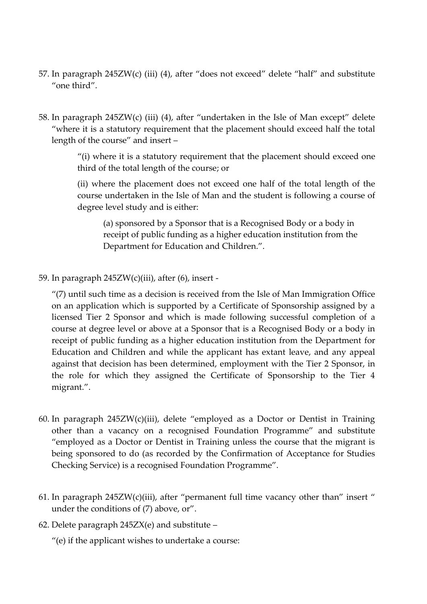- 57. In paragraph 245ZW(c) (iii) (4), after "does not exceed" delete "half" and substitute "one third".
- 58. In paragraph 245ZW(c) (iii) (4), after "undertaken in the Isle of Man except" delete "where it is a statutory requirement that the placement should exceed half the total length of the course" and insert –

"(i) where it is a statutory requirement that the placement should exceed one third of the total length of the course; or

(ii) where the placement does not exceed one half of the total length of the course undertaken in the Isle of Man and the student is following a course of degree level study and is either:

(a) sponsored by a Sponsor that is a Recognised Body or a body in receipt of public funding as a higher education institution from the Department for Education and Children.".

59. In paragraph 245ZW(c)(iii), after (6), insert -

"(7) until such time as a decision is received from the Isle of Man Immigration Office on an application which is supported by a Certificate of Sponsorship assigned by a licensed Tier 2 Sponsor and which is made following successful completion of a course at degree level or above at a Sponsor that is a Recognised Body or a body in receipt of public funding as a higher education institution from the Department for Education and Children and while the applicant has extant leave, and any appeal against that decision has been determined, employment with the Tier 2 Sponsor, in the role for which they assigned the Certificate of Sponsorship to the Tier 4 migrant.".

- 60. In paragraph 245ZW(c)(iii), delete "employed as a Doctor or Dentist in Training other than a vacancy on a recognised Foundation Programme" and substitute "employed as a Doctor or Dentist in Training unless the course that the migrant is being sponsored to do (as recorded by the Confirmation of Acceptance for Studies Checking Service) is a recognised Foundation Programme".
- 61. In paragraph  $245ZW(c)(iii)$ , after "permanent full time vacancy other than" insert " under the conditions of (7) above, or".
- 62. Delete paragraph  $245ZX(e)$  and substitute –

"(e) if the applicant wishes to undertake a course: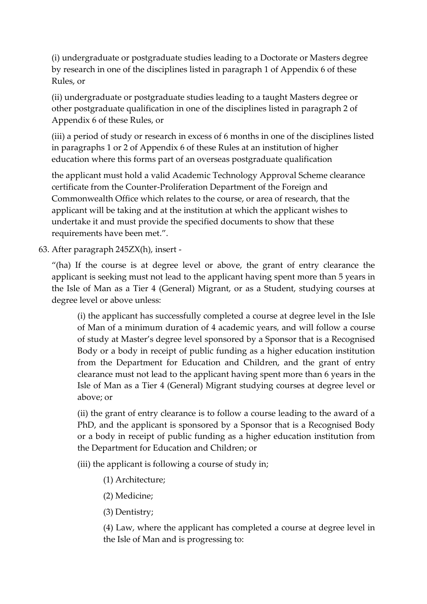(i) undergraduate or postgraduate studies leading to a Doctorate or Masters degree by research in one of the disciplines listed in paragraph 1 of Appendix 6 of these Rules, or

(ii) undergraduate or postgraduate studies leading to a taught Masters degree or other postgraduate qualification in one of the disciplines listed in paragraph 2 of Appendix 6 of these Rules, or

(iii) a period of study or research in excess of 6 months in one of the disciplines listed in paragraphs 1 or 2 of Appendix 6 of these Rules at an institution of higher education where this forms part of an overseas postgraduate qualification

the applicant must hold a valid Academic Technology Approval Scheme clearance certificate from the Counter-Proliferation Department of the Foreign and Commonwealth Office which relates to the course, or area of research, that the applicant will be taking and at the institution at which the applicant wishes to undertake it and must provide the specified documents to show that these requirements have been met.".

63. After paragraph 245ZX(h), insert -

"(ha) If the course is at degree level or above, the grant of entry clearance the applicant is seeking must not lead to the applicant having spent more than 5 years in the Isle of Man as a Tier 4 (General) Migrant, or as a Student, studying courses at degree level or above unless:

(i) the applicant has successfully completed a course at degree level in the Isle of Man of a minimum duration of 4 academic years, and will follow a course of study at Master's degree level sponsored by a Sponsor that is a Recognised Body or a body in receipt of public funding as a higher education institution from the Department for Education and Children, and the grant of entry clearance must not lead to the applicant having spent more than 6 years in the Isle of Man as a Tier 4 (General) Migrant studying courses at degree level or above; or

(ii) the grant of entry clearance is to follow a course leading to the award of a PhD, and the applicant is sponsored by a Sponsor that is a Recognised Body or a body in receipt of public funding as a higher education institution from the Department for Education and Children; or

(iii) the applicant is following a course of study in;

- (1) Architecture;
- (2) Medicine;
- (3) Dentistry;

(4) Law, where the applicant has completed a course at degree level in the Isle of Man and is progressing to: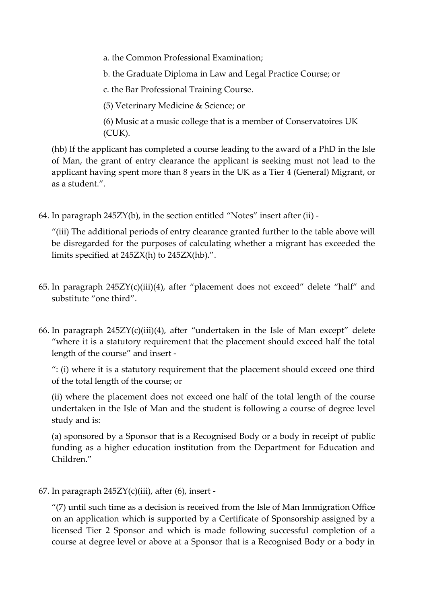a. the Common Professional Examination;

b. the Graduate Diploma in Law and Legal Practice Course; or

c. the Bar Professional Training Course.

(5) Veterinary Medicine & Science; or

(6) Music at a music college that is a member of Conservatoires UK (CUK).

(hb) If the applicant has completed a course leading to the award of a PhD in the Isle of Man, the grant of entry clearance the applicant is seeking must not lead to the applicant having spent more than 8 years in the UK as a Tier 4 (General) Migrant, or as a student.".

64. In paragraph 245ZY(b), in the section entitled "Notes" insert after (ii) -

"(iii) The additional periods of entry clearance granted further to the table above will be disregarded for the purposes of calculating whether a migrant has exceeded the limits specified at 245ZX(h) to 245ZX(hb).".

- 65. In paragraph  $245ZY(c)(iii)(4)$ , after "placement does not exceed" delete "half" and substitute "one third".
- 66. In paragraph 245ZY(c)(iii)(4), after "undertaken in the Isle of Man except" delete "where it is a statutory requirement that the placement should exceed half the total length of the course" and insert -

": (i) where it is a statutory requirement that the placement should exceed one third of the total length of the course; or

(ii) where the placement does not exceed one half of the total length of the course undertaken in the Isle of Man and the student is following a course of degree level study and is:

(a) sponsored by a Sponsor that is a Recognised Body or a body in receipt of public funding as a higher education institution from the Department for Education and Children."

67. In paragraph  $245ZY(c)(iii)$ , after (6), insert -

"(7) until such time as a decision is received from the Isle of Man Immigration Office on an application which is supported by a Certificate of Sponsorship assigned by a licensed Tier 2 Sponsor and which is made following successful completion of a course at degree level or above at a Sponsor that is a Recognised Body or a body in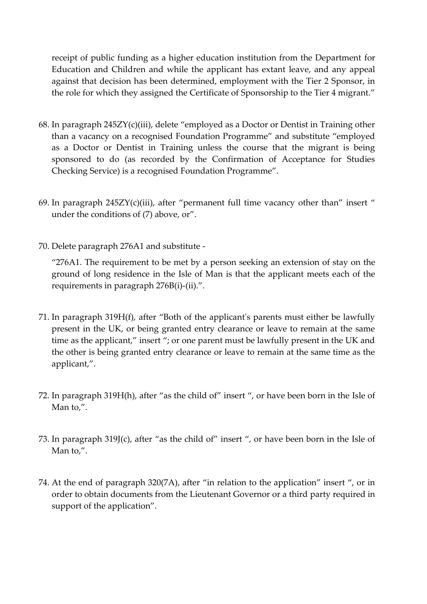receipt of public funding as a higher education institution from the Department for Education and Children and while the applicant has extant leave, and any appeal against that decision has been determined, employment with the Tier 2 Sponsor, in the role for which they assigned the Certificate of Sponsorship to the Tier 4 migrant."

- 68. In paragraph 245ZY(c)(iii), delete "employed as a Doctor or Dentist in Training other than a vacancy on a recognised Foundation Programme" and substitute "employed as a Doctor or Dentist in Training unless the course that the migrant is being sponsored to do (as recorded by the Confirmation of Acceptance for Studies Checking Service) is a recognised Foundation Programme".
- 69. In paragraph  $245ZY(c)(iii)$ , after "permanent full time vacancy other than" insert " under the conditions of (7) above, or".
- 70. Delete paragraph 276A1 and substitute -

"276A1. The requirement to be met by a person seeking an extension of stay on the ground of long residence in the Isle of Man is that the applicant meets each of the requirements in paragraph 276B(i)-(ii).".

- 71. In paragraph 319H(f), after "Both of the applicant's parents must either be lawfully present in the UK, or being granted entry clearance or leave to remain at the same time as the applicant," insert "; or one parent must be lawfully present in the UK and the other is being granted entry clearance or leave to remain at the same time as the applicant,".
- 72. In paragraph 319H(h), after "as the child of" insert ", or have been born in the Isle of Man to,".
- 73. In paragraph 319J(c), after "as the child of" insert ", or have been born in the Isle of Man to,".
- 74. At the end of paragraph 320(7A), after "in relation to the application" insert ", or in order to obtain documents from the Lieutenant Governor or a third party required in support of the application".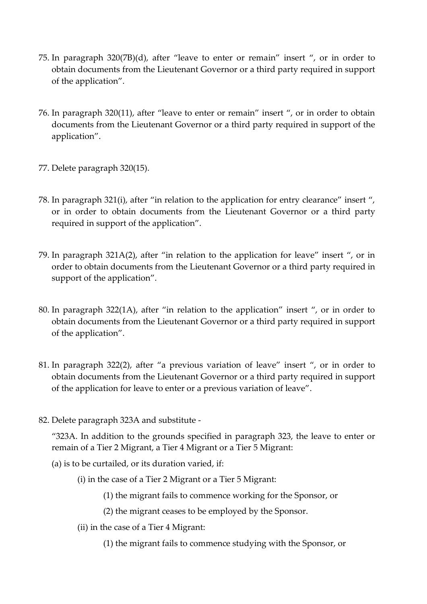- 75. In paragraph 320(7B)(d), after "leave to enter or remain" insert ", or in order to obtain documents from the Lieutenant Governor or a third party required in support of the application".
- 76. In paragraph 320(11), after "leave to enter or remain" insert ", or in order to obtain documents from the Lieutenant Governor or a third party required in support of the application".
- 77. Delete paragraph 320(15).
- 78. In paragraph 321(i), after "in relation to the application for entry clearance" insert ", or in order to obtain documents from the Lieutenant Governor or a third party required in support of the application".
- 79. In paragraph 321A(2), after "in relation to the application for leave" insert ", or in order to obtain documents from the Lieutenant Governor or a third party required in support of the application".
- 80. In paragraph 322(1A), after "in relation to the application" insert ", or in order to obtain documents from the Lieutenant Governor or a third party required in support of the application".
- 81. In paragraph 322(2), after "a previous variation of leave" insert ", or in order to obtain documents from the Lieutenant Governor or a third party required in support of the application for leave to enter or a previous variation of leave".
- 82. Delete paragraph 323A and substitute -

"323A. In addition to the grounds specified in paragraph 323, the leave to enter or remain of a Tier 2 Migrant, a Tier 4 Migrant or a Tier 5 Migrant:

- (a) is to be curtailed, or its duration varied, if:
	- (i) in the case of a Tier 2 Migrant or a Tier 5 Migrant:
		- (1) the migrant fails to commence working for the Sponsor, or
		- (2) the migrant ceases to be employed by the Sponsor.
	- (ii) in the case of a Tier 4 Migrant:
		- (1) the migrant fails to commence studying with the Sponsor, or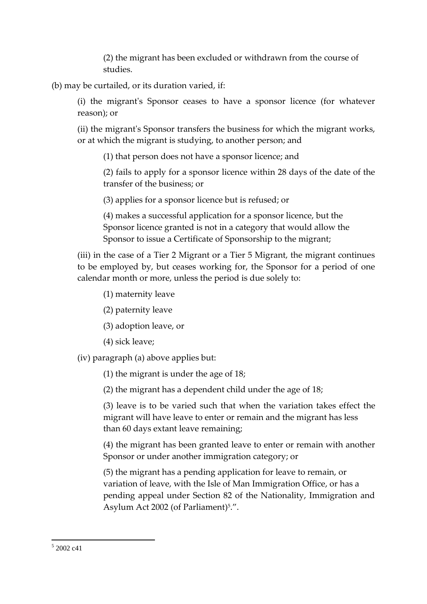(2) the migrant has been excluded or withdrawn from the course of studies.

(b) may be curtailed, or its duration varied, if:

(i) the migrant's Sponsor ceases to have a sponsor licence (for whatever reason); or

(ii) the migrant's Sponsor transfers the business for which the migrant works, or at which the migrant is studying, to another person; and

(1) that person does not have a sponsor licence; and

(2) fails to apply for a sponsor licence within 28 days of the date of the transfer of the business; or

(3) applies for a sponsor licence but is refused; or

(4) makes a successful application for a sponsor licence, but the Sponsor licence granted is not in a category that would allow the Sponsor to issue a Certificate of Sponsorship to the migrant;

(iii) in the case of a Tier 2 Migrant or a Tier 5 Migrant, the migrant continues to be employed by, but ceases working for, the Sponsor for a period of one calendar month or more, unless the period is due solely to:

(1) maternity leave

- (2) paternity leave
- (3) adoption leave, or
- (4) sick leave;

(iv) paragraph (a) above applies but:

(1) the migrant is under the age of 18;

(2) the migrant has a dependent child under the age of 18;

(3) leave is to be varied such that when the variation takes effect the migrant will have leave to enter or remain and the migrant has less than 60 days extant leave remaining;

(4) the migrant has been granted leave to enter or remain with another Sponsor or under another immigration category; or

(5) the migrant has a pending application for leave to remain, or variation of leave, with the Isle of Man Immigration Office, or has a pending appeal under Section 82 of the Nationality, Immigration and Asylum Act 2002 (of Parliament)<sup>5</sup>.".

1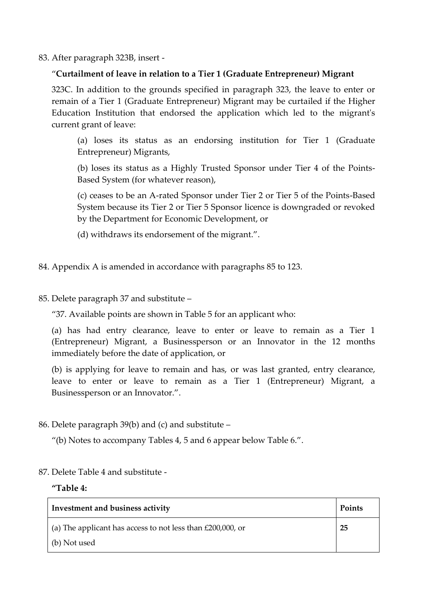83. After paragraph 323B, insert -

### "**Curtailment of leave in relation to a Tier 1 (Graduate Entrepreneur) Migrant**

323C. In addition to the grounds specified in paragraph 323, the leave to enter or remain of a Tier 1 (Graduate Entrepreneur) Migrant may be curtailed if the Higher Education Institution that endorsed the application which led to the migrant's current grant of leave:

(a) loses its status as an endorsing institution for Tier 1 (Graduate Entrepreneur) Migrants,

(b) loses its status as a Highly Trusted Sponsor under Tier 4 of the Points-Based System (for whatever reason),

(c) ceases to be an A-rated Sponsor under Tier 2 or Tier 5 of the Points-Based System because its Tier 2 or Tier 5 Sponsor licence is downgraded or revoked by the Department for Economic Development, or

- (d) withdraws its endorsement of the migrant.".
- 84. Appendix A is amended in accordance with paragraphs 85 to 123.
- 85. Delete paragraph 37 and substitute –

"37. Available points are shown in Table 5 for an applicant who:

(a) has had entry clearance, leave to enter or leave to remain as a Tier 1 (Entrepreneur) Migrant, a Businessperson or an Innovator in the 12 months immediately before the date of application, or

(b) is applying for leave to remain and has, or was last granted, entry clearance, leave to enter or leave to remain as a Tier 1 (Entrepreneur) Migrant, a Businessperson or an Innovator.".

86. Delete paragraph 39(b) and (c) and substitute –

"(b) Notes to accompany Tables 4, 5 and 6 appear below Table 6.".

87. Delete Table 4 and substitute -

### **"Table 4:**

| Investment and business activity                                   | Points |
|--------------------------------------------------------------------|--------|
| $\vert$ (a) The applicant has access to not less than £200,000, or | 25     |
| (b) Not used                                                       |        |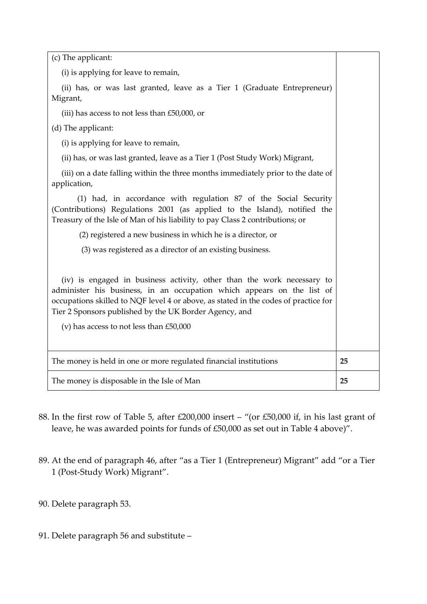| (c) The applicant:                                                                                                                                                                                                                                                                                                                             |    |
|------------------------------------------------------------------------------------------------------------------------------------------------------------------------------------------------------------------------------------------------------------------------------------------------------------------------------------------------|----|
| (i) is applying for leave to remain,                                                                                                                                                                                                                                                                                                           |    |
| (ii) has, or was last granted, leave as a Tier 1 (Graduate Entrepreneur)<br>Migrant,                                                                                                                                                                                                                                                           |    |
| (iii) has access to not less than £50,000, or                                                                                                                                                                                                                                                                                                  |    |
| (d) The applicant:                                                                                                                                                                                                                                                                                                                             |    |
| (i) is applying for leave to remain,                                                                                                                                                                                                                                                                                                           |    |
| (ii) has, or was last granted, leave as a Tier 1 (Post Study Work) Migrant,                                                                                                                                                                                                                                                                    |    |
| (iii) on a date falling within the three months immediately prior to the date of<br>application,                                                                                                                                                                                                                                               |    |
| (1) had, in accordance with regulation 87 of the Social Security<br>(Contributions) Regulations 2001 (as applied to the Island), notified the<br>Treasury of the Isle of Man of his liability to pay Class 2 contributions; or                                                                                                                 |    |
| (2) registered a new business in which he is a director, or                                                                                                                                                                                                                                                                                    |    |
| (3) was registered as a director of an existing business.                                                                                                                                                                                                                                                                                      |    |
| (iv) is engaged in business activity, other than the work necessary to<br>administer his business, in an occupation which appears on the list of<br>occupations skilled to NQF level 4 or above, as stated in the codes of practice for<br>Tier 2 Sponsors published by the UK Border Agency, and<br>(v) has access to not less than $£50,000$ |    |
| The money is held in one or more regulated financial institutions                                                                                                                                                                                                                                                                              | 25 |
| The money is disposable in the Isle of Man                                                                                                                                                                                                                                                                                                     | 25 |

- 88. In the first row of Table 5, after £200,000 insert "(or £50,000 if, in his last grant of leave, he was awarded points for funds of £50,000 as set out in Table 4 above)".
- 89. At the end of paragraph 46, after "as a Tier 1 (Entrepreneur) Migrant" add "or a Tier 1 (Post-Study Work) Migrant".
- 90. Delete paragraph 53.
- 91. Delete paragraph 56 and substitute –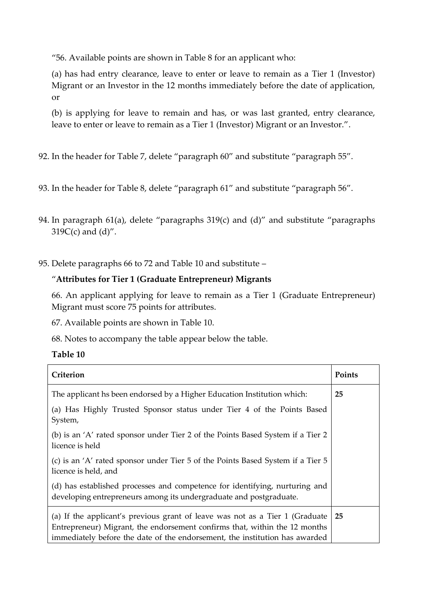"56. Available points are shown in Table 8 for an applicant who:

(a) has had entry clearance, leave to enter or leave to remain as a Tier 1 (Investor) Migrant or an Investor in the 12 months immediately before the date of application, or

(b) is applying for leave to remain and has, or was last granted, entry clearance, leave to enter or leave to remain as a Tier 1 (Investor) Migrant or an Investor.".

92. In the header for Table 7, delete "paragraph 60" and substitute "paragraph 55".

- 93. In the header for Table 8, delete "paragraph 61" and substitute "paragraph 56".
- 94. In paragraph 61(a), delete "paragraphs 319(c) and (d)" and substitute "paragraphs  $319C(c)$  and  $(d)$ ".
- 95. Delete paragraphs 66 to 72 and Table 10 and substitute –

# "**Attributes for Tier 1 (Graduate Entrepreneur) Migrants**

66. An applicant applying for leave to remain as a Tier 1 (Graduate Entrepreneur) Migrant must score 75 points for attributes.

67. Available points are shown in Table 10.

68. Notes to accompany the table appear below the table.

| Criterion                                                                                                                                                                                                                                           | Points |
|-----------------------------------------------------------------------------------------------------------------------------------------------------------------------------------------------------------------------------------------------------|--------|
| The applicant hs been endorsed by a Higher Education Institution which:                                                                                                                                                                             | 25     |
| (a) Has Highly Trusted Sponsor status under Tier 4 of the Points Based<br>System,                                                                                                                                                                   |        |
| (b) is an 'A' rated sponsor under Tier 2 of the Points Based System if a Tier 2<br>licence is held                                                                                                                                                  |        |
| (c) is an 'A' rated sponsor under Tier 5 of the Points Based System if a Tier 5<br>licence is held, and                                                                                                                                             |        |
| (d) has established processes and competence for identifying, nurturing and<br>developing entrepreneurs among its undergraduate and postgraduate.                                                                                                   |        |
| (a) If the applicant's previous grant of leave was not as a Tier 1 (Graduate $\mid$ 25<br>Entrepreneur) Migrant, the endorsement confirms that, within the 12 months<br>immediately before the date of the endorsement, the institution has awarded |        |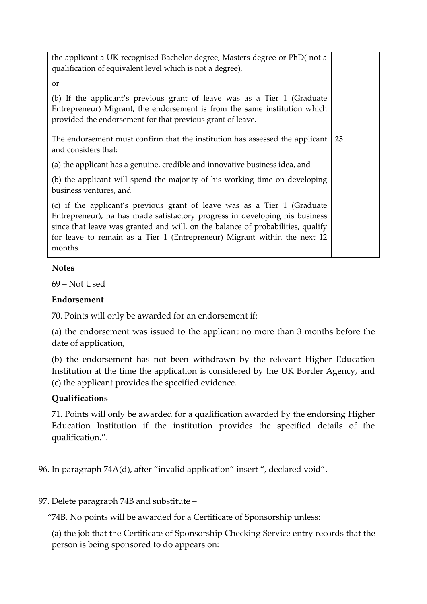| the applicant a UK recognised Bachelor degree, Masters degree or PhD(not a<br>qualification of equivalent level which is not a degree),                                                                                                                                                                                            |    |
|------------------------------------------------------------------------------------------------------------------------------------------------------------------------------------------------------------------------------------------------------------------------------------------------------------------------------------|----|
| <b>or</b>                                                                                                                                                                                                                                                                                                                          |    |
| (b) If the applicant's previous grant of leave was as a Tier 1 (Graduate<br>Entrepreneur) Migrant, the endorsement is from the same institution which<br>provided the endorsement for that previous grant of leave.                                                                                                                |    |
| The endorsement must confirm that the institution has assessed the applicant<br>and considers that:                                                                                                                                                                                                                                | 25 |
| (a) the applicant has a genuine, credible and innovative business idea, and                                                                                                                                                                                                                                                        |    |
| (b) the applicant will spend the majority of his working time on developing<br>business ventures, and                                                                                                                                                                                                                              |    |
| (c) if the applicant's previous grant of leave was as a Tier 1 (Graduate<br>Entrepreneur), ha has made satisfactory progress in developing his business<br>since that leave was granted and will, on the balance of probabilities, qualify<br>for leave to remain as a Tier 1 (Entrepreneur) Migrant within the next 12<br>months. |    |

#### **Notes**

69 – Not Used

#### **Endorsement**

70. Points will only be awarded for an endorsement if:

(a) the endorsement was issued to the applicant no more than 3 months before the date of application,

(b) the endorsement has not been withdrawn by the relevant Higher Education Institution at the time the application is considered by the UK Border Agency, and (c) the applicant provides the specified evidence.

### **Qualifications**

71. Points will only be awarded for a qualification awarded by the endorsing Higher Education Institution if the institution provides the specified details of the qualification.".

96. In paragraph 74A(d), after "invalid application" insert ", declared void".

### 97. Delete paragraph 74B and substitute –

"74B. No points will be awarded for a Certificate of Sponsorship unless:

(a) the job that the Certificate of Sponsorship Checking Service entry records that the person is being sponsored to do appears on: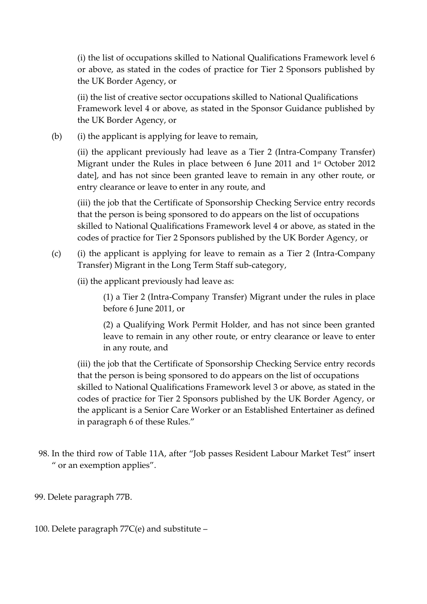(i) the list of occupations skilled to National Qualifications Framework level 6 or above, as stated in the codes of practice for Tier 2 Sponsors published by the UK Border Agency, or

(ii) the list of creative sector occupations skilled to National Qualifications Framework level 4 or above, as stated in the Sponsor Guidance published by the UK Border Agency, or

(b) (i) the applicant is applying for leave to remain,

(ii) the applicant previously had leave as a Tier 2 (Intra-Company Transfer) Migrant under the Rules in place between 6 June 2011 and 1 st October 2012 date], and has not since been granted leave to remain in any other route, or entry clearance or leave to enter in any route, and

(iii) the job that the Certificate of Sponsorship Checking Service entry records that the person is being sponsored to do appears on the list of occupations skilled to National Qualifications Framework level 4 or above, as stated in the codes of practice for Tier 2 Sponsors published by the UK Border Agency, or

- (c) (i) the applicant is applying for leave to remain as a Tier 2 (Intra-Company Transfer) Migrant in the Long Term Staff sub-category,
	- (ii) the applicant previously had leave as:

(1) a Tier 2 (Intra-Company Transfer) Migrant under the rules in place before 6 June 2011, or

(2) a Qualifying Work Permit Holder, and has not since been granted leave to remain in any other route, or entry clearance or leave to enter in any route, and

(iii) the job that the Certificate of Sponsorship Checking Service entry records that the person is being sponsored to do appears on the list of occupations skilled to National Qualifications Framework level 3 or above, as stated in the codes of practice for Tier 2 Sponsors published by the UK Border Agency, or the applicant is a Senior Care Worker or an Established Entertainer as defined in paragraph 6 of these Rules."

98. In the third row of Table 11A, after "Job passes Resident Labour Market Test" insert " or an exemption applies".

99. Delete paragraph 77B.

100. Delete paragraph 77C(e) and substitute –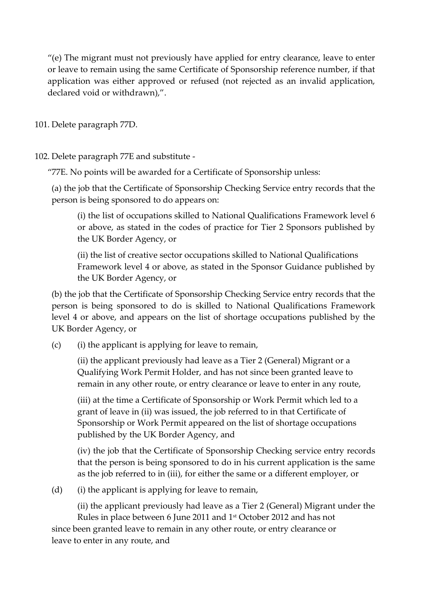"(e) The migrant must not previously have applied for entry clearance, leave to enter or leave to remain using the same Certificate of Sponsorship reference number, if that application was either approved or refused (not rejected as an invalid application, declared void or withdrawn),".

101. Delete paragraph 77D.

102. Delete paragraph 77E and substitute -

"77E. No points will be awarded for a Certificate of Sponsorship unless:

(a) the job that the Certificate of Sponsorship Checking Service entry records that the person is being sponsored to do appears on:

(i) the list of occupations skilled to National Qualifications Framework level 6 or above, as stated in the codes of practice for Tier 2 Sponsors published by the UK Border Agency, or

(ii) the list of creative sector occupations skilled to National Qualifications Framework level 4 or above, as stated in the Sponsor Guidance published by the UK Border Agency, or

(b) the job that the Certificate of Sponsorship Checking Service entry records that the person is being sponsored to do is skilled to National Qualifications Framework level 4 or above, and appears on the list of shortage occupations published by the UK Border Agency, or

(c) (i) the applicant is applying for leave to remain,

(ii) the applicant previously had leave as a Tier 2 (General) Migrant or a Qualifying Work Permit Holder, and has not since been granted leave to remain in any other route, or entry clearance or leave to enter in any route,

(iii) at the time a Certificate of Sponsorship or Work Permit which led to a grant of leave in (ii) was issued, the job referred to in that Certificate of Sponsorship or Work Permit appeared on the list of shortage occupations published by the UK Border Agency, and

(iv) the job that the Certificate of Sponsorship Checking service entry records that the person is being sponsored to do in his current application is the same as the job referred to in (iii), for either the same or a different employer, or

 $(d)$  (i) the applicant is applying for leave to remain,

(ii) the applicant previously had leave as a Tier 2 (General) Migrant under the Rules in place between 6 June 2011 and 1 st October 2012 and has not since been granted leave to remain in any other route, or entry clearance or leave to enter in any route, and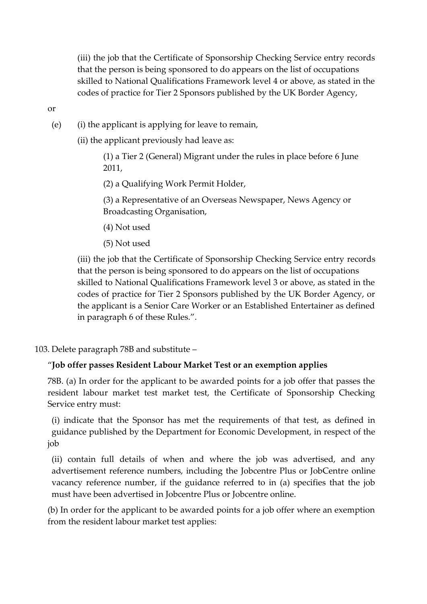(iii) the job that the Certificate of Sponsorship Checking Service entry records that the person is being sponsored to do appears on the list of occupations skilled to National Qualifications Framework level 4 or above, as stated in the codes of practice for Tier 2 Sponsors published by the UK Border Agency,

or

- (e) (i) the applicant is applying for leave to remain,
	- (ii) the applicant previously had leave as:

(1) a Tier 2 (General) Migrant under the rules in place before 6 June 2011,

(2) a Qualifying Work Permit Holder,

(3) a Representative of an Overseas Newspaper, News Agency or Broadcasting Organisation,

- (4) Not used
- (5) Not used

(iii) the job that the Certificate of Sponsorship Checking Service entry records that the person is being sponsored to do appears on the list of occupations skilled to National Qualifications Framework level 3 or above, as stated in the codes of practice for Tier 2 Sponsors published by the UK Border Agency, or the applicant is a Senior Care Worker or an Established Entertainer as defined in paragraph 6 of these Rules.".

103. Delete paragraph 78B and substitute –

# "**Job offer passes Resident Labour Market Test or an exemption applies**

78B. (a) In order for the applicant to be awarded points for a job offer that passes the resident labour market test market test, the Certificate of Sponsorship Checking Service entry must:

(i) indicate that the Sponsor has met the requirements of that test, as defined in guidance published by the Department for Economic Development, in respect of the job

(ii) contain full details of when and where the job was advertised, and any advertisement reference numbers, including the Jobcentre Plus or JobCentre online vacancy reference number, if the guidance referred to in (a) specifies that the job must have been advertised in Jobcentre Plus or Jobcentre online.

(b) In order for the applicant to be awarded points for a job offer where an exemption from the resident labour market test applies: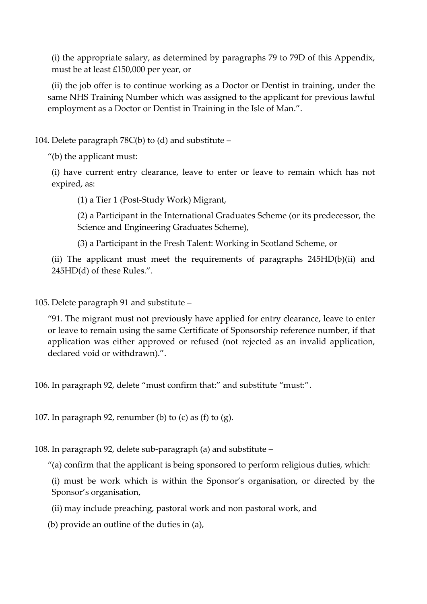(i) the appropriate salary, as determined by paragraphs 79 to 79D of this Appendix, must be at least £150,000 per year, or

(ii) the job offer is to continue working as a Doctor or Dentist in training, under the same NHS Training Number which was assigned to the applicant for previous lawful employment as a Doctor or Dentist in Training in the Isle of Man.".

104. Delete paragraph 78C(b) to (d) and substitute –

"(b) the applicant must:

(i) have current entry clearance, leave to enter or leave to remain which has not expired, as:

(1) a Tier 1 (Post-Study Work) Migrant,

(2) a Participant in the International Graduates Scheme (or its predecessor, the Science and Engineering Graduates Scheme),

(3) a Participant in the Fresh Talent: Working in Scotland Scheme, or

(ii) The applicant must meet the requirements of paragraphs 245HD(b)(ii) and 245HD(d) of these Rules.".

105. Delete paragraph 91 and substitute –

"91. The migrant must not previously have applied for entry clearance, leave to enter or leave to remain using the same Certificate of Sponsorship reference number, if that application was either approved or refused (not rejected as an invalid application, declared void or withdrawn).".

106. In paragraph 92, delete "must confirm that:" and substitute "must:".

107. In paragraph 92, renumber (b) to (c) as (f) to (g).

108. In paragraph 92, delete sub-paragraph (a) and substitute –

"(a) confirm that the applicant is being sponsored to perform religious duties, which:

(i) must be work which is within the Sponsor's organisation, or directed by the Sponsor's organisation,

(ii) may include preaching, pastoral work and non pastoral work, and

(b) provide an outline of the duties in (a),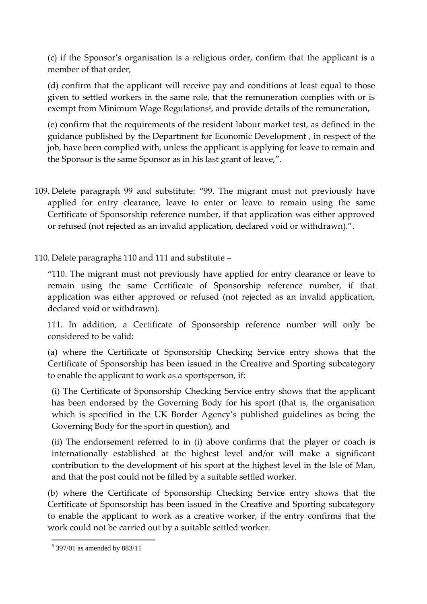(c) if the Sponsor's organisation is a religious order, confirm that the applicant is a member of that order,

(d) confirm that the applicant will receive pay and conditions at least equal to those given to settled workers in the same role, that the remuneration complies with or is exempt from Minimum Wage Regulations<sup>6</sup>, and provide details of the remuneration,

(e) confirm that the requirements of the resident labour market test, as defined in the guidance published by the Department for Economic Development , in respect of the job, have been complied with, unless the applicant is applying for leave to remain and the Sponsor is the same Sponsor as in his last grant of leave,".

- 109. Delete paragraph 99 and substitute: "99. The migrant must not previously have applied for entry clearance, leave to enter or leave to remain using the same Certificate of Sponsorship reference number, if that application was either approved or refused (not rejected as an invalid application, declared void or withdrawn).".
- 110. Delete paragraphs 110 and 111 and substitute –

"110. The migrant must not previously have applied for entry clearance or leave to remain using the same Certificate of Sponsorship reference number, if that application was either approved or refused (not rejected as an invalid application, declared void or withdrawn).

111. In addition, a Certificate of Sponsorship reference number will only be considered to be valid:

(a) where the Certificate of Sponsorship Checking Service entry shows that the Certificate of Sponsorship has been issued in the Creative and Sporting subcategory to enable the applicant to work as a sportsperson, if:

(i) The Certificate of Sponsorship Checking Service entry shows that the applicant has been endorsed by the Governing Body for his sport (that is, the organisation which is specified in the UK Border Agency's published guidelines as being the Governing Body for the sport in question), and

(ii) The endorsement referred to in (i) above confirms that the player or coach is internationally established at the highest level and/or will make a significant contribution to the development of his sport at the highest level in the Isle of Man, and that the post could not be filled by a suitable settled worker.

(b) where the Certificate of Sponsorship Checking Service entry shows that the Certificate of Sponsorship has been issued in the Creative and Sporting subcategory to enable the applicant to work as a creative worker, if the entry confirms that the work could not be carried out by a suitable settled worker.

<sup>1</sup>  $6$  397/01 as amended by 883/11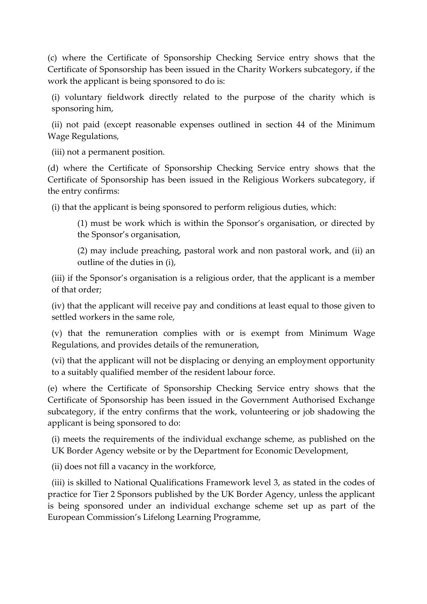(c) where the Certificate of Sponsorship Checking Service entry shows that the Certificate of Sponsorship has been issued in the Charity Workers subcategory, if the work the applicant is being sponsored to do is:

(i) voluntary fieldwork directly related to the purpose of the charity which is sponsoring him,

(ii) not paid (except reasonable expenses outlined in section 44 of the Minimum Wage Regulations,

(iii) not a permanent position.

(d) where the Certificate of Sponsorship Checking Service entry shows that the Certificate of Sponsorship has been issued in the Religious Workers subcategory, if the entry confirms:

(i) that the applicant is being sponsored to perform religious duties, which:

(1) must be work which is within the Sponsor's organisation, or directed by the Sponsor's organisation,

(2) may include preaching, pastoral work and non pastoral work, and (ii) an outline of the duties in (i),

(iii) if the Sponsor's organisation is a religious order, that the applicant is a member of that order;

(iv) that the applicant will receive pay and conditions at least equal to those given to settled workers in the same role,

(v) that the remuneration complies with or is exempt from Minimum Wage Regulations, and provides details of the remuneration,

(vi) that the applicant will not be displacing or denying an employment opportunity to a suitably qualified member of the resident labour force.

(e) where the Certificate of Sponsorship Checking Service entry shows that the Certificate of Sponsorship has been issued in the Government Authorised Exchange subcategory, if the entry confirms that the work, volunteering or job shadowing the applicant is being sponsored to do:

(i) meets the requirements of the individual exchange scheme, as published on the UK Border Agency website or by the Department for Economic Development,

(ii) does not fill a vacancy in the workforce,

(iii) is skilled to National Qualifications Framework level 3, as stated in the codes of practice for Tier 2 Sponsors published by the UK Border Agency, unless the applicant is being sponsored under an individual exchange scheme set up as part of the European Commission's Lifelong Learning Programme,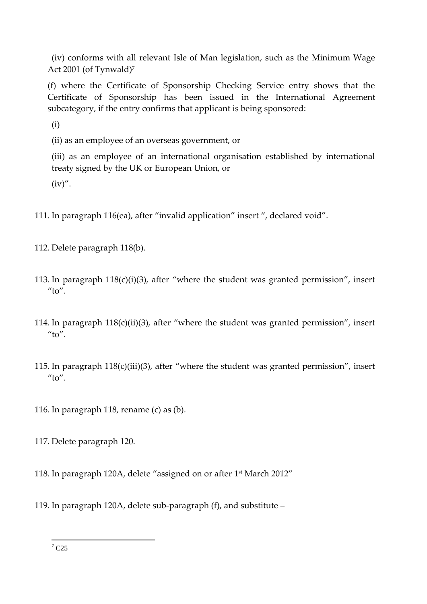(iv) conforms with all relevant Isle of Man legislation, such as the Minimum Wage Act 2001 (of Tynwald)<sup>7</sup>

(f) where the Certificate of Sponsorship Checking Service entry shows that the Certificate of Sponsorship has been issued in the International Agreement subcategory, if the entry confirms that applicant is being sponsored:

(i)

(ii) as an employee of an overseas government, or

(iii) as an employee of an international organisation established by international treaty signed by the UK or European Union, or

 $(iv)$ ".

- 111. In paragraph 116(ea), after "invalid application" insert ", declared void".
- 112. Delete paragraph 118(b).
- 113. In paragraph 118(c)(i)(3), after "where the student was granted permission", insert " $to$ ".
- 114. In paragraph 118(c)(ii)(3), after "where the student was granted permission", insert  $''$ to".
- 115. In paragraph 118(c)(iii)(3), after "where the student was granted permission", insert  $''$ to".
- 116. In paragraph 118, rename (c) as (b).

117. Delete paragraph 120.

- 118. In paragraph 120A, delete "assigned on or after 1 st March 2012"
- 119. In paragraph 120A, delete sub-paragraph (f), and substitute –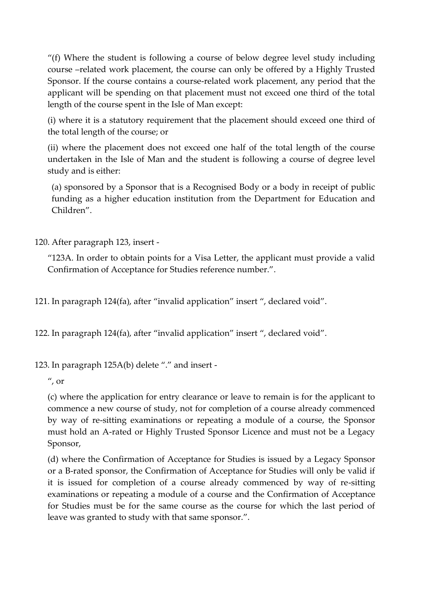"(f) Where the student is following a course of below degree level study including course –related work placement, the course can only be offered by a Highly Trusted Sponsor. If the course contains a course-related work placement, any period that the applicant will be spending on that placement must not exceed one third of the total length of the course spent in the Isle of Man except:

(i) where it is a statutory requirement that the placement should exceed one third of the total length of the course; or

(ii) where the placement does not exceed one half of the total length of the course undertaken in the Isle of Man and the student is following a course of degree level study and is either:

(a) sponsored by a Sponsor that is a Recognised Body or a body in receipt of public funding as a higher education institution from the Department for Education and Children".

120. After paragraph 123, insert -

"123A. In order to obtain points for a Visa Letter, the applicant must provide a valid Confirmation of Acceptance for Studies reference number.".

121. In paragraph 124(fa), after "invalid application" insert ", declared void".

122. In paragraph 124(fa), after "invalid application" insert ", declared void".

123. In paragraph 125A(b) delete "." and insert -

 $^{\prime\prime}$ , or

(c) where the application for entry clearance or leave to remain is for the applicant to commence a new course of study, not for completion of a course already commenced by way of re-sitting examinations or repeating a module of a course, the Sponsor must hold an A-rated or Highly Trusted Sponsor Licence and must not be a Legacy Sponsor,

(d) where the Confirmation of Acceptance for Studies is issued by a Legacy Sponsor or a B-rated sponsor, the Confirmation of Acceptance for Studies will only be valid if it is issued for completion of a course already commenced by way of re-sitting examinations or repeating a module of a course and the Confirmation of Acceptance for Studies must be for the same course as the course for which the last period of leave was granted to study with that same sponsor.".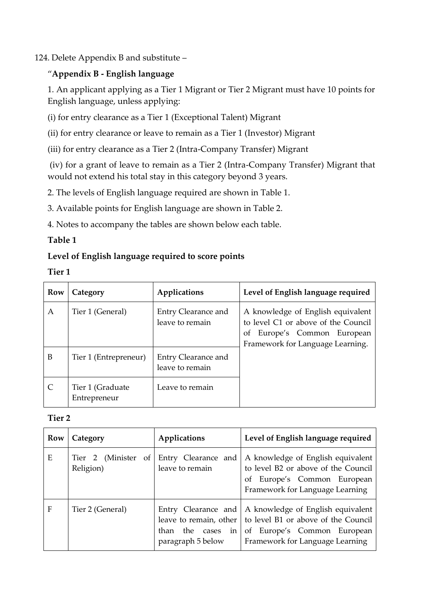### 124. Delete Appendix B and substitute –

# "**Appendix B - English language**

1. An applicant applying as a Tier 1 Migrant or Tier 2 Migrant must have 10 points for English language, unless applying:

(i) for entry clearance as a Tier 1 (Exceptional Talent) Migrant

(ii) for entry clearance or leave to remain as a Tier 1 (Investor) Migrant

(iii) for entry clearance as a Tier 2 (Intra-Company Transfer) Migrant

(iv) for a grant of leave to remain as a Tier 2 (Intra-Company Transfer) Migrant that would not extend his total stay in this category beyond 3 years.

2. The levels of English language required are shown in Table 1.

3. Available points for English language are shown in Table 2.

4. Notes to accompany the tables are shown below each table.

# **Table 1**

# **Level of English language required to score points**

| w<br>۰, |  |
|---------|--|
|---------|--|

| <b>Row</b> | Category                         | Applications                           | Level of English language required                                                                                                             |
|------------|----------------------------------|----------------------------------------|------------------------------------------------------------------------------------------------------------------------------------------------|
| Α          | Tier 1 (General)                 | Entry Clearance and<br>leave to remain | A knowledge of English equivalent<br>to level C1 or above of the Council<br>Europe's Common European<br>Οf<br>Framework for Language Learning. |
| B          | Tier 1 (Entrepreneur)            | Entry Clearance and<br>leave to remain |                                                                                                                                                |
|            | Tier 1 (Graduate<br>Entrepreneur | Leave to remain                        |                                                                                                                                                |

### **Tier 2**

| <b>Row</b> | Category                         | Applications                               | Level of English language required                                                                                                                                                      |
|------------|----------------------------------|--------------------------------------------|-----------------------------------------------------------------------------------------------------------------------------------------------------------------------------------------|
| E          | Tier 2 (Minister of<br>Religion) | Entry Clearance and<br>leave to remain     | A knowledge of English equivalent<br>to level B2 or above of the Council<br>of Europe's Common European<br>Framework for Language Learning                                              |
| F          | Tier 2 (General)                 | than the cases<br>in.<br>paragraph 5 below | Entry Clearance and   A knowledge of English equivalent<br>leave to remain, other to level B1 or above of the Council<br>of Europe's Common European<br>Framework for Language Learning |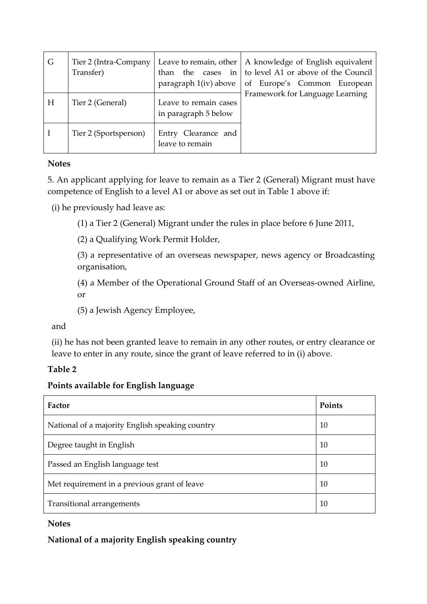| G | Tier 2 (Intra-Company<br>Transfer) | than<br>paragraph 1(iv) above                 | Leave to remain, other $\vert$ A knowledge of English equivalent<br>the cases in to level A1 or above of the Council<br>of Europe's Common European |
|---|------------------------------------|-----------------------------------------------|-----------------------------------------------------------------------------------------------------------------------------------------------------|
| H | Tier 2 (General)                   | Leave to remain cases<br>in paragraph 5 below | Framework for Language Learning                                                                                                                     |
|   | Tier 2 (Sportsperson)              | Entry Clearance and<br>leave to remain        |                                                                                                                                                     |

### **Notes**

5. An applicant applying for leave to remain as a Tier 2 (General) Migrant must have competence of English to a level A1 or above as set out in Table 1 above if:

(i) he previously had leave as:

(1) a Tier 2 (General) Migrant under the rules in place before 6 June 2011,

(2) a Qualifying Work Permit Holder,

(3) a representative of an overseas newspaper, news agency or Broadcasting organisation,

(4) a Member of the Operational Ground Staff of an Overseas-owned Airline, or

(5) a Jewish Agency Employee,

and

(ii) he has not been granted leave to remain in any other routes, or entry clearance or leave to enter in any route, since the grant of leave referred to in (i) above.

### **Table 2**

### **Points available for English language**

| Factor                                          | Points |
|-------------------------------------------------|--------|
| National of a majority English speaking country | 10     |
| Degree taught in English                        | 10     |
| Passed an English language test                 | 10     |
| Met requirement in a previous grant of leave    | 10     |
| Transitional arrangements                       | 10     |

### **Notes**

**National of a majority English speaking country**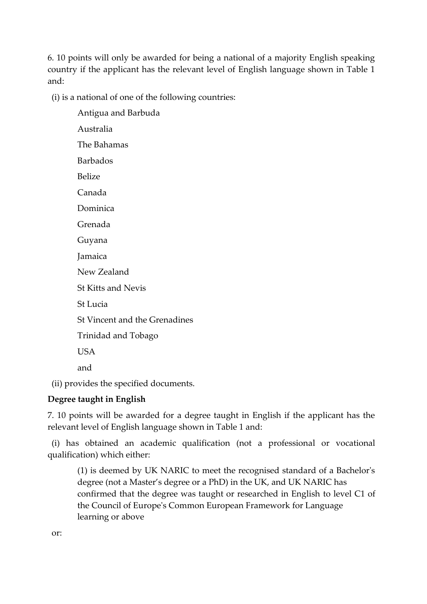6. 10 points will only be awarded for being a national of a majority English speaking country if the applicant has the relevant level of English language shown in Table 1 and:

(i) is a national of one of the following countries:

Antigua and Barbuda Australia The Bahamas Barbados Belize Canada Dominica Grenada Guyana Jamaica New Zealand St Kitts and Nevis St Lucia St Vincent and the Grenadines Trinidad and Tobago USA and (ii) provides the specified documents.

# **Degree taught in English**

7. 10 points will be awarded for a degree taught in English if the applicant has the relevant level of English language shown in Table 1 and:

(i) has obtained an academic qualification (not a professional or vocational qualification) which either:

(1) is deemed by UK NARIC to meet the recognised standard of a Bachelor's degree (not a Master's degree or a PhD) in the UK, and UK NARIC has confirmed that the degree was taught or researched in English to level C1 of the Council of Europe's Common European Framework for Language learning or above

or: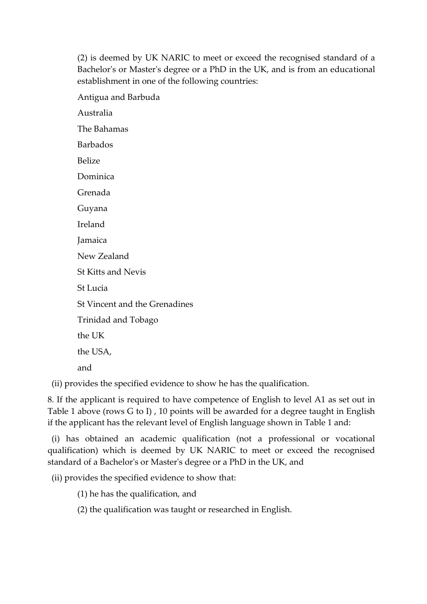(2) is deemed by UK NARIC to meet or exceed the recognised standard of a Bachelor's or Master's degree or a PhD in the UK, and is from an educational establishment in one of the following countries:

Antigua and Barbuda Australia The Bahamas Barbados Belize Dominica Grenada Guyana Ireland Jamaica New Zealand St Kitts and Nevis St Lucia St Vincent and the Grenadines Trinidad and Tobago the UK the USA, and

(ii) provides the specified evidence to show he has the qualification.

8. If the applicant is required to have competence of English to level A1 as set out in Table 1 above (rows G to I) , 10 points will be awarded for a degree taught in English if the applicant has the relevant level of English language shown in Table 1 and:

(i) has obtained an academic qualification (not a professional or vocational qualification) which is deemed by UK NARIC to meet or exceed the recognised standard of a Bachelor's or Master's degree or a PhD in the UK, and

(ii) provides the specified evidence to show that:

(1) he has the qualification, and

(2) the qualification was taught or researched in English.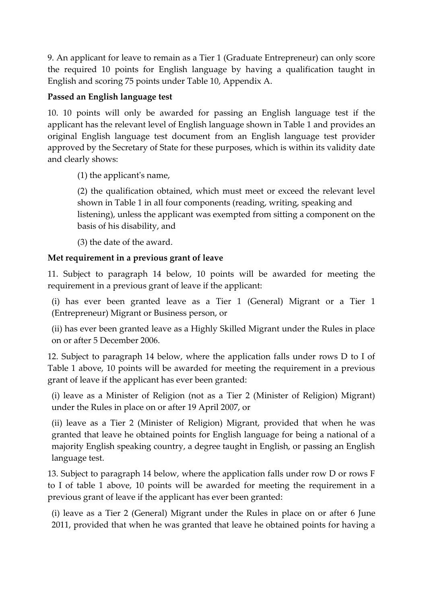9. An applicant for leave to remain as a Tier 1 (Graduate Entrepreneur) can only score the required 10 points for English language by having a qualification taught in English and scoring 75 points under Table 10, Appendix A.

### **Passed an English language test**

10. 10 points will only be awarded for passing an English language test if the applicant has the relevant level of English language shown in Table 1 and provides an original English language test document from an English language test provider approved by the Secretary of State for these purposes, which is within its validity date and clearly shows:

(1) the applicant's name,

(2) the qualification obtained, which must meet or exceed the relevant level shown in Table 1 in all four components (reading, writing, speaking and listening), unless the applicant was exempted from sitting a component on the basis of his disability, and

(3) the date of the award.

# **Met requirement in a previous grant of leave**

11. Subject to paragraph 14 below, 10 points will be awarded for meeting the requirement in a previous grant of leave if the applicant:

(i) has ever been granted leave as a Tier 1 (General) Migrant or a Tier 1 (Entrepreneur) Migrant or Business person, or

(ii) has ever been granted leave as a Highly Skilled Migrant under the Rules in place on or after 5 December 2006.

12. Subject to paragraph 14 below, where the application falls under rows D to I of Table 1 above, 10 points will be awarded for meeting the requirement in a previous grant of leave if the applicant has ever been granted:

(i) leave as a Minister of Religion (not as a Tier 2 (Minister of Religion) Migrant) under the Rules in place on or after 19 April 2007, or

(ii) leave as a Tier 2 (Minister of Religion) Migrant, provided that when he was granted that leave he obtained points for English language for being a national of a majority English speaking country, a degree taught in English, or passing an English language test.

13. Subject to paragraph 14 below, where the application falls under row D or rows F to I of table 1 above, 10 points will be awarded for meeting the requirement in a previous grant of leave if the applicant has ever been granted:

(i) leave as a Tier 2 (General) Migrant under the Rules in place on or after 6 June 2011, provided that when he was granted that leave he obtained points for having a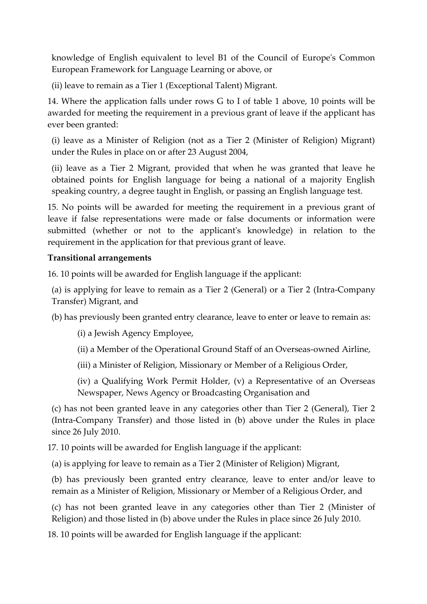knowledge of English equivalent to level B1 of the Council of Europe's Common European Framework for Language Learning or above, or

(ii) leave to remain as a Tier 1 (Exceptional Talent) Migrant.

14. Where the application falls under rows G to I of table 1 above, 10 points will be awarded for meeting the requirement in a previous grant of leave if the applicant has ever been granted:

(i) leave as a Minister of Religion (not as a Tier 2 (Minister of Religion) Migrant) under the Rules in place on or after 23 August 2004,

(ii) leave as a Tier 2 Migrant, provided that when he was granted that leave he obtained points for English language for being a national of a majority English speaking country, a degree taught in English, or passing an English language test.

15. No points will be awarded for meeting the requirement in a previous grant of leave if false representations were made or false documents or information were submitted (whether or not to the applicant's knowledge) in relation to the requirement in the application for that previous grant of leave.

### **Transitional arrangements**

16. 10 points will be awarded for English language if the applicant:

(a) is applying for leave to remain as a Tier 2 (General) or a Tier 2 (Intra-Company Transfer) Migrant, and

(b) has previously been granted entry clearance, leave to enter or leave to remain as:

(i) a Jewish Agency Employee,

(ii) a Member of the Operational Ground Staff of an Overseas-owned Airline,

(iii) a Minister of Religion, Missionary or Member of a Religious Order,

(iv) a Qualifying Work Permit Holder, (v) a Representative of an Overseas Newspaper, News Agency or Broadcasting Organisation and

(c) has not been granted leave in any categories other than Tier 2 (General), Tier 2 (Intra-Company Transfer) and those listed in (b) above under the Rules in place since 26 July 2010.

17. 10 points will be awarded for English language if the applicant:

(a) is applying for leave to remain as a Tier 2 (Minister of Religion) Migrant,

(b) has previously been granted entry clearance, leave to enter and/or leave to remain as a Minister of Religion, Missionary or Member of a Religious Order, and

(c) has not been granted leave in any categories other than Tier 2 (Minister of Religion) and those listed in (b) above under the Rules in place since 26 July 2010.

18. 10 points will be awarded for English language if the applicant: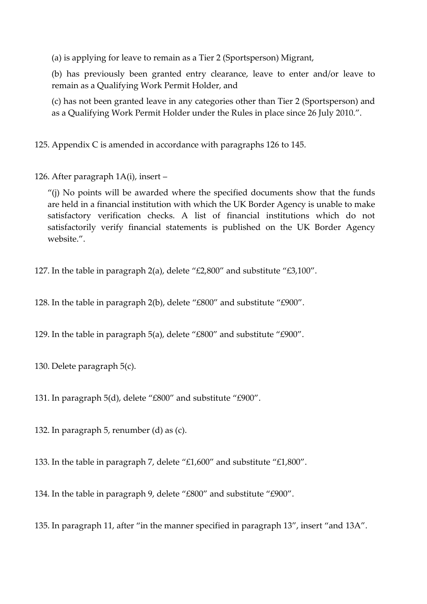(a) is applying for leave to remain as a Tier 2 (Sportsperson) Migrant,

(b) has previously been granted entry clearance, leave to enter and/or leave to remain as a Qualifying Work Permit Holder, and

(c) has not been granted leave in any categories other than Tier 2 (Sportsperson) and as a Qualifying Work Permit Holder under the Rules in place since 26 July 2010.".

125. Appendix C is amended in accordance with paragraphs 126 to 145.

126. After paragraph 1A(i), insert –

"(j) No points will be awarded where the specified documents show that the funds are held in a financial institution with which the UK Border Agency is unable to make satisfactory verification checks. A list of financial institutions which do not satisfactorily verify financial statements is published on the UK Border Agency website.".

127. In the table in paragraph 2(a), delete "£2,800" and substitute "£3,100".

128. In the table in paragraph 2(b), delete "£800" and substitute "£900".

129. In the table in paragraph 5(a), delete "£800" and substitute "£900".

130. Delete paragraph 5(c).

131. In paragraph 5(d), delete "£800" and substitute "£900".

132. In paragraph 5, renumber (d) as (c).

133. In the table in paragraph 7, delete "£1,600" and substitute "£1,800".

134. In the table in paragraph 9, delete "£800" and substitute "£900".

135. In paragraph 11, after "in the manner specified in paragraph 13", insert "and 13A".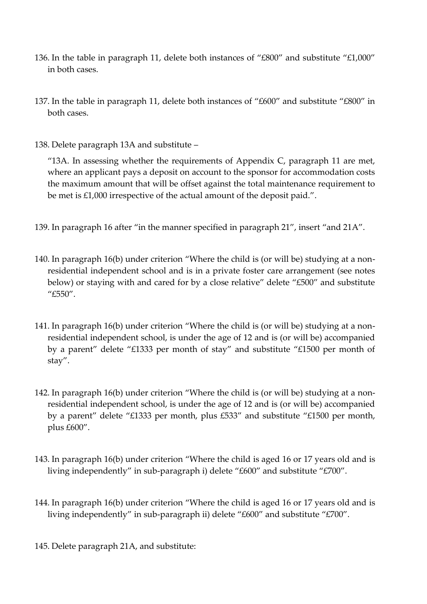- 136. In the table in paragraph 11, delete both instances of "£800" and substitute "£1,000" in both cases.
- 137. In the table in paragraph 11, delete both instances of "£600" and substitute "£800" in both cases.
- 138. Delete paragraph 13A and substitute –

"13A. In assessing whether the requirements of Appendix C, paragraph 11 are met, where an applicant pays a deposit on account to the sponsor for accommodation costs the maximum amount that will be offset against the total maintenance requirement to be met is £1,000 irrespective of the actual amount of the deposit paid.".

- 139. In paragraph 16 after "in the manner specified in paragraph 21", insert "and 21A".
- 140. In paragraph 16(b) under criterion "Where the child is (or will be) studying at a nonresidential independent school and is in a private foster care arrangement (see notes below) or staying with and cared for by a close relative" delete "£500" and substitute "£550".
- 141. In paragraph 16(b) under criterion "Where the child is (or will be) studying at a nonresidential independent school, is under the age of 12 and is (or will be) accompanied by a parent" delete "£1333 per month of stay" and substitute "£1500 per month of stay".
- 142. In paragraph 16(b) under criterion "Where the child is (or will be) studying at a nonresidential independent school, is under the age of 12 and is (or will be) accompanied by a parent" delete "£1333 per month, plus £533" and substitute "£1500 per month, plus £600".
- 143. In paragraph 16(b) under criterion "Where the child is aged 16 or 17 years old and is living independently" in sub-paragraph i) delete "£600" and substitute "£700".
- 144. In paragraph 16(b) under criterion "Where the child is aged 16 or 17 years old and is living independently" in sub-paragraph ii) delete "£600" and substitute "£700".
- 145. Delete paragraph 21A, and substitute: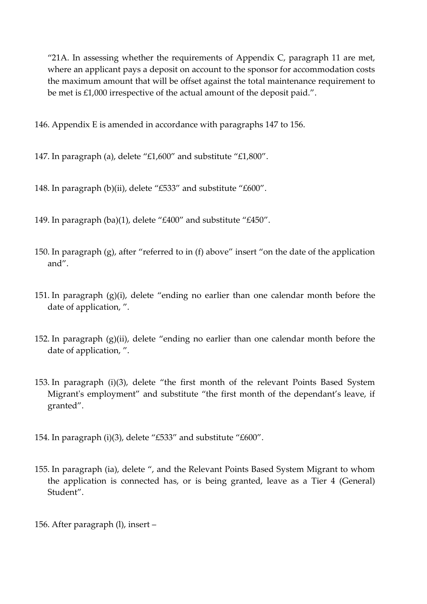"21A. In assessing whether the requirements of Appendix C, paragraph 11 are met, where an applicant pays a deposit on account to the sponsor for accommodation costs the maximum amount that will be offset against the total maintenance requirement to be met is £1,000 irrespective of the actual amount of the deposit paid.".

146. Appendix E is amended in accordance with paragraphs 147 to 156.

147. In paragraph (a), delete "£1,600" and substitute "£1,800".

148. In paragraph (b)(ii), delete "£533" and substitute "£600".

149. In paragraph (ba)(1), delete "£400" and substitute "£450".

- 150. In paragraph (g), after "referred to in (f) above" insert "on the date of the application and".
- 151. In paragraph (g)(i), delete "ending no earlier than one calendar month before the date of application, ".
- 152. In paragraph (g)(ii), delete "ending no earlier than one calendar month before the date of application, ".
- 153. In paragraph (i)(3), delete "the first month of the relevant Points Based System Migrant's employment" and substitute "the first month of the dependant's leave, if granted".
- 154. In paragraph (i)(3), delete "£533" and substitute "£600".
- 155. In paragraph (ia), delete ", and the Relevant Points Based System Migrant to whom the application is connected has, or is being granted, leave as a Tier 4 (General) Student".
- 156. After paragraph (l), insert –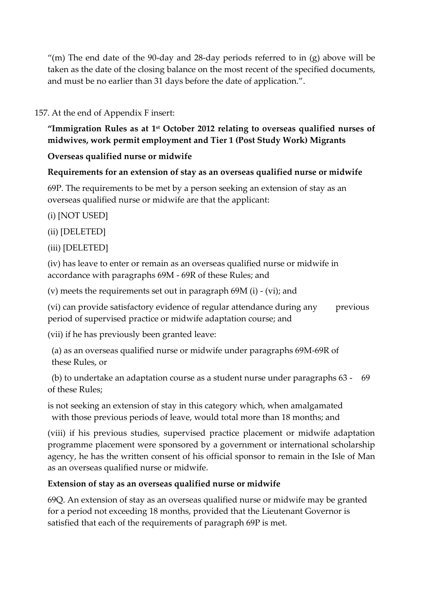"(m) The end date of the 90-day and 28-day periods referred to in  $(g)$  above will be taken as the date of the closing balance on the most recent of the specified documents, and must be no earlier than 31 days before the date of application.".

### 157. At the end of Appendix F insert:

**"Immigration Rules as at 1 st October 2012 relating to overseas qualified nurses of midwives, work permit employment and Tier 1 (Post Study Work) Migrants**

### **Overseas qualified nurse or midwife**

### **Requirements for an extension of stay as an overseas qualified nurse or midwife**

69P. The requirements to be met by a person seeking an extension of stay as an overseas qualified nurse or midwife are that the applicant:

(i) [NOT USED]

(ii) [DELETED]

### (iii) [DELETED]

(iv) has leave to enter or remain as an overseas qualified nurse or midwife in accordance with paragraphs 69M - 69R of these Rules; and

(v) meets the requirements set out in paragraph 69M (i) - (vi); and

(vi) can provide satisfactory evidence of regular attendance during any previous period of supervised practice or midwife adaptation course; and

(vii) if he has previously been granted leave:

(a) as an overseas qualified nurse or midwife under paragraphs 69M-69R of these Rules, or

(b) to undertake an adaptation course as a student nurse under paragraphs 63 - 69 of these Rules;

is not seeking an extension of stay in this category which, when amalgamated with those previous periods of leave, would total more than 18 months; and

(viii) if his previous studies, supervised practice placement or midwife adaptation programme placement were sponsored by a government or international scholarship agency, he has the written consent of his official sponsor to remain in the Isle of Man as an overseas qualified nurse or midwife.

# **Extension of stay as an overseas qualified nurse or midwife**

69Q. An extension of stay as an overseas qualified nurse or midwife may be granted for a period not exceeding 18 months, provided that the Lieutenant Governor is satisfied that each of the requirements of paragraph 69P is met.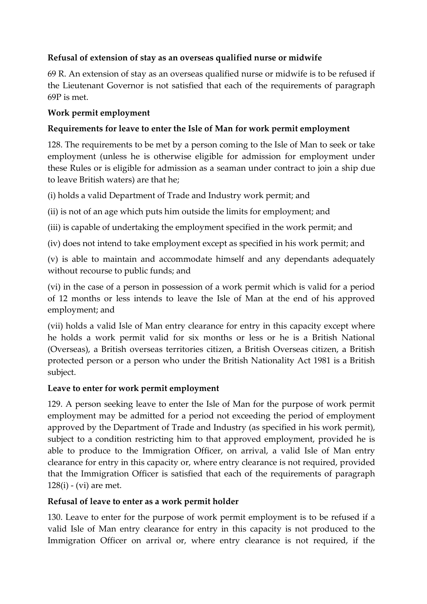# **Refusal of extension of stay as an overseas qualified nurse or midwife**

69 R. An extension of stay as an overseas qualified nurse or midwife is to be refused if the Lieutenant Governor is not satisfied that each of the requirements of paragraph 69P is met.

### **Work permit employment**

# **Requirements for leave to enter the Isle of Man for work permit employment**

128. The requirements to be met by a person coming to the Isle of Man to seek or take employment (unless he is otherwise eligible for admission for employment under these Rules or is eligible for admission as a seaman under contract to join a ship due to leave British waters) are that he;

(i) holds a valid Department of Trade and Industry work permit; and

(ii) is not of an age which puts him outside the limits for employment; and

(iii) is capable of undertaking the employment specified in the work permit; and

(iv) does not intend to take employment except as specified in his work permit; and

(v) is able to maintain and accommodate himself and any dependants adequately without recourse to public funds; and

(vi) in the case of a person in possession of a work permit which is valid for a period of 12 months or less intends to leave the Isle of Man at the end of his approved employment; and

(vii) holds a valid Isle of Man entry clearance for entry in this capacity except where he holds a work permit valid for six months or less or he is a British National (Overseas), a British overseas territories citizen, a British Overseas citizen, a British protected person or a person who under the British Nationality Act 1981 is a British subject.

### **Leave to enter for work permit employment**

129. A person seeking leave to enter the Isle of Man for the purpose of work permit employment may be admitted for a period not exceeding the period of employment approved by the Department of Trade and Industry (as specified in his work permit), subject to a condition restricting him to that approved employment, provided he is able to produce to the Immigration Officer, on arrival, a valid Isle of Man entry clearance for entry in this capacity or, where entry clearance is not required, provided that the Immigration Officer is satisfied that each of the requirements of paragraph 128(i) - (vi) are met.

# **Refusal of leave to enter as a work permit holder**

130. Leave to enter for the purpose of work permit employment is to be refused if a valid Isle of Man entry clearance for entry in this capacity is not produced to the Immigration Officer on arrival or, where entry clearance is not required, if the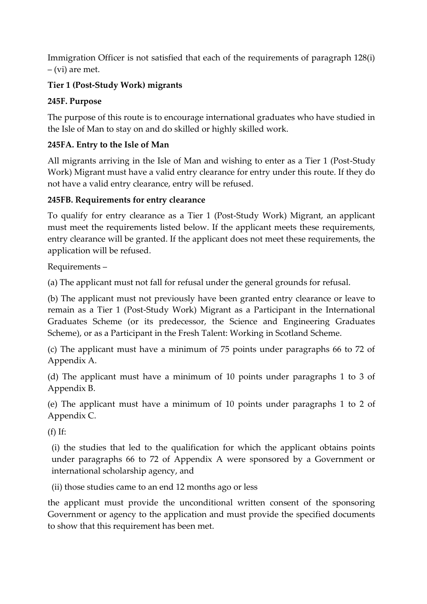Immigration Officer is not satisfied that each of the requirements of paragraph 128(i) – (vi) are met.

# **Tier 1 (Post-Study Work) migrants**

# **245F. Purpose**

The purpose of this route is to encourage international graduates who have studied in the Isle of Man to stay on and do skilled or highly skilled work.

# **245FA. Entry to the Isle of Man**

All migrants arriving in the Isle of Man and wishing to enter as a Tier 1 (Post-Study Work) Migrant must have a valid entry clearance for entry under this route. If they do not have a valid entry clearance, entry will be refused.

# **245FB. Requirements for entry clearance**

To qualify for entry clearance as a Tier 1 (Post-Study Work) Migrant, an applicant must meet the requirements listed below. If the applicant meets these requirements, entry clearance will be granted. If the applicant does not meet these requirements, the application will be refused.

Requirements –

(a) The applicant must not fall for refusal under the general grounds for refusal.

(b) The applicant must not previously have been granted entry clearance or leave to remain as a Tier 1 (Post-Study Work) Migrant as a Participant in the International Graduates Scheme (or its predecessor, the Science and Engineering Graduates Scheme), or as a Participant in the Fresh Talent: Working in Scotland Scheme.

(c) The applicant must have a minimum of 75 points under paragraphs 66 to 72 of Appendix A.

(d) The applicant must have a minimum of 10 points under paragraphs 1 to 3 of Appendix B.

(e) The applicant must have a minimum of 10 points under paragraphs 1 to 2 of Appendix C.

 $(f)$  If:

(i) the studies that led to the qualification for which the applicant obtains points under paragraphs 66 to 72 of Appendix A were sponsored by a Government or international scholarship agency, and

(ii) those studies came to an end 12 months ago or less

the applicant must provide the unconditional written consent of the sponsoring Government or agency to the application and must provide the specified documents to show that this requirement has been met.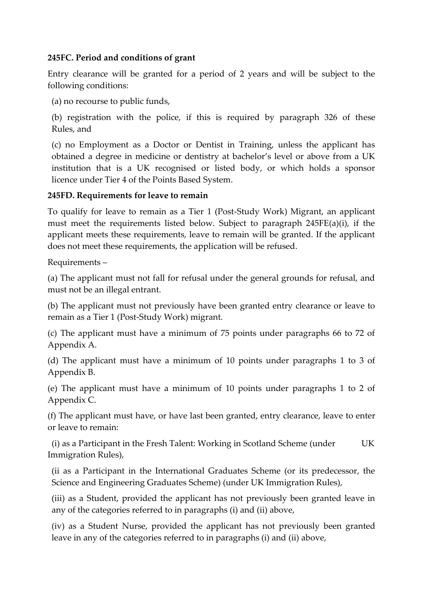### **245FC. Period and conditions of grant**

Entry clearance will be granted for a period of 2 years and will be subject to the following conditions:

(a) no recourse to public funds,

(b) registration with the police, if this is required by paragraph 326 of these Rules, and

(c) no Employment as a Doctor or Dentist in Training, unless the applicant has obtained a degree in medicine or dentistry at bachelor's level or above from a UK institution that is a UK recognised or listed body, or which holds a sponsor licence under Tier 4 of the Points Based System.

#### **245FD. Requirements for leave to remain**

To qualify for leave to remain as a Tier 1 (Post-Study Work) Migrant, an applicant must meet the requirements listed below. Subject to paragraph 245FE(a)(i), if the applicant meets these requirements, leave to remain will be granted. If the applicant does not meet these requirements, the application will be refused.

Requirements –

(a) The applicant must not fall for refusal under the general grounds for refusal, and must not be an illegal entrant.

(b) The applicant must not previously have been granted entry clearance or leave to remain as a Tier 1 (Post-Study Work) migrant.

(c) The applicant must have a minimum of 75 points under paragraphs 66 to 72 of Appendix A.

(d) The applicant must have a minimum of 10 points under paragraphs 1 to 3 of Appendix B.

(e) The applicant must have a minimum of 10 points under paragraphs 1 to 2 of Appendix C.

(f) The applicant must have, or have last been granted, entry clearance, leave to enter or leave to remain:

(i) as a Participant in the Fresh Talent: Working in Scotland Scheme (under UK Immigration Rules),

(ii as a Participant in the International Graduates Scheme (or its predecessor, the Science and Engineering Graduates Scheme) (under UK Immigration Rules),

(iii) as a Student, provided the applicant has not previously been granted leave in any of the categories referred to in paragraphs (i) and (ii) above,

(iv) as a Student Nurse, provided the applicant has not previously been granted leave in any of the categories referred to in paragraphs (i) and (ii) above,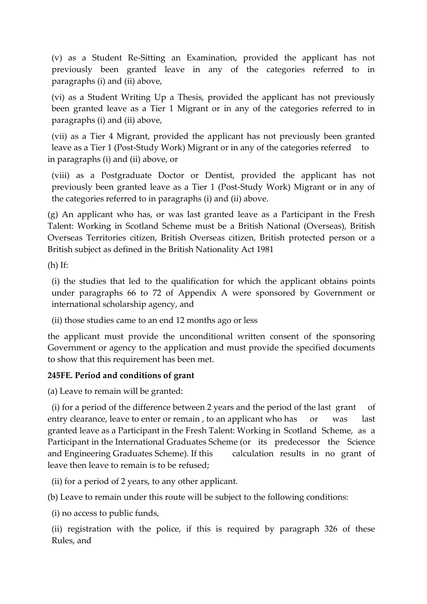(v) as a Student Re-Sitting an Examination, provided the applicant has not previously been granted leave in any of the categories referred to in paragraphs (i) and (ii) above,

(vi) as a Student Writing Up a Thesis, provided the applicant has not previously been granted leave as a Tier 1 Migrant or in any of the categories referred to in paragraphs (i) and (ii) above,

(vii) as a Tier 4 Migrant, provided the applicant has not previously been granted leave as a Tier 1 (Post-Study Work) Migrant or in any of the categories referred to in paragraphs (i) and (ii) above, or

(viii) as a Postgraduate Doctor or Dentist, provided the applicant has not previously been granted leave as a Tier 1 (Post-Study Work) Migrant or in any of the categories referred to in paragraphs (i) and (ii) above.

(g) An applicant who has, or was last granted leave as a Participant in the Fresh Talent: Working in Scotland Scheme must be a British National (Overseas), British Overseas Territories citizen, British Overseas citizen, British protected person or a British subject as defined in the British Nationality Act 1981

(h) If:

(i) the studies that led to the qualification for which the applicant obtains points under paragraphs 66 to 72 of Appendix A were sponsored by Government or international scholarship agency, and

(ii) those studies came to an end 12 months ago or less

the applicant must provide the unconditional written consent of the sponsoring Government or agency to the application and must provide the specified documents to show that this requirement has been met.

### **245FE. Period and conditions of grant**

(a) Leave to remain will be granted:

(i) for a period of the difference between 2 years and the period of the last grant of entry clearance, leave to enter or remain, to an applicant who has or was last granted leave as a Participant in the Fresh Talent: Working in Scotland Scheme, as a Participant in the International Graduates Scheme (or its predecessor the Science and Engineering Graduates Scheme). If this calculation results in no grant of leave then leave to remain is to be refused;

(ii) for a period of 2 years, to any other applicant.

(b) Leave to remain under this route will be subject to the following conditions:

(i) no access to public funds,

(ii) registration with the police, if this is required by paragraph 326 of these Rules, and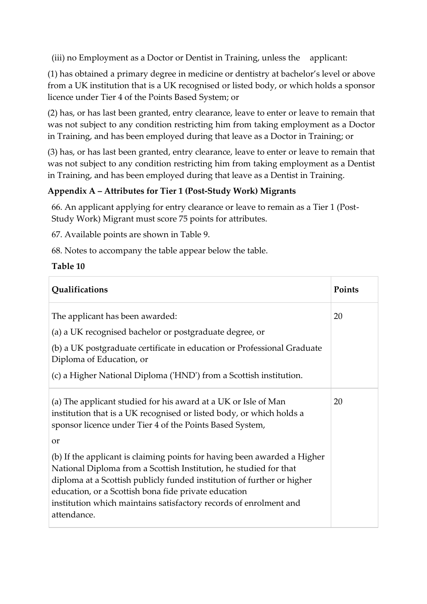(iii) no Employment as a Doctor or Dentist in Training, unless the applicant:

(1) has obtained a primary degree in medicine or dentistry at bachelor's level or above from a UK institution that is a UK recognised or listed body, or which holds a sponsor licence under Tier 4 of the Points Based System; or

(2) has, or has last been granted, entry clearance, leave to enter or leave to remain that was not subject to any condition restricting him from taking employment as a Doctor in Training, and has been employed during that leave as a Doctor in Training; or

(3) has, or has last been granted, entry clearance, leave to enter or leave to remain that was not subject to any condition restricting him from taking employment as a Dentist in Training, and has been employed during that leave as a Dentist in Training.

# **Appendix A – Attributes for Tier 1 (Post-Study Work) Migrants**

66. An applicant applying for entry clearance or leave to remain as a Tier 1 (Post-Study Work) Migrant must score 75 points for attributes.

67. Available points are shown in Table 9.

68. Notes to accompany the table appear below the table.

### **Table 10**

| Qualifications                                                                                                                                                                                                                                                                                                                                                      | Points |
|---------------------------------------------------------------------------------------------------------------------------------------------------------------------------------------------------------------------------------------------------------------------------------------------------------------------------------------------------------------------|--------|
| The applicant has been awarded:                                                                                                                                                                                                                                                                                                                                     | 20     |
| (a) a UK recognised bachelor or postgraduate degree, or                                                                                                                                                                                                                                                                                                             |        |
| (b) a UK postgraduate certificate in education or Professional Graduate<br>Diploma of Education, or                                                                                                                                                                                                                                                                 |        |
| (c) a Higher National Diploma ('HND') from a Scottish institution.                                                                                                                                                                                                                                                                                                  |        |
| (a) The applicant studied for his award at a UK or Isle of Man<br>institution that is a UK recognised or listed body, or which holds a<br>sponsor licence under Tier 4 of the Points Based System,                                                                                                                                                                  | 20     |
| <sub>or</sub>                                                                                                                                                                                                                                                                                                                                                       |        |
| (b) If the applicant is claiming points for having been awarded a Higher<br>National Diploma from a Scottish Institution, he studied for that<br>diploma at a Scottish publicly funded institution of further or higher<br>education, or a Scottish bona fide private education<br>institution which maintains satisfactory records of enrolment and<br>attendance. |        |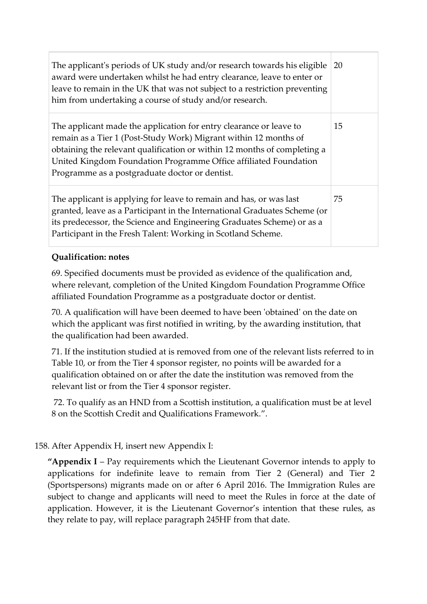| The applicant's periods of UK study and/or research towards his eligible<br>award were undertaken whilst he had entry clearance, leave to enter or<br>leave to remain in the UK that was not subject to a restriction preventing<br>him from undertaking a course of study and/or research.                                              | 20 |
|------------------------------------------------------------------------------------------------------------------------------------------------------------------------------------------------------------------------------------------------------------------------------------------------------------------------------------------|----|
| The applicant made the application for entry clearance or leave to<br>remain as a Tier 1 (Post-Study Work) Migrant within 12 months of<br>obtaining the relevant qualification or within 12 months of completing a<br>United Kingdom Foundation Programme Office affiliated Foundation<br>Programme as a postgraduate doctor or dentist. | 15 |
| The applicant is applying for leave to remain and has, or was last<br>granted, leave as a Participant in the International Graduates Scheme (or<br>its predecessor, the Science and Engineering Graduates Scheme) or as a<br>Participant in the Fresh Talent: Working in Scotland Scheme.                                                | 75 |

# **Qualification: notes**

69. Specified documents must be provided as evidence of the qualification and, where relevant, completion of the United Kingdom Foundation Programme Office affiliated Foundation Programme as a postgraduate doctor or dentist.

70. A qualification will have been deemed to have been 'obtained' on the date on which the applicant was first notified in writing, by the awarding institution, that the qualification had been awarded.

71. If the institution studied at is removed from one of the relevant lists referred to in Table 10, or from the Tier 4 sponsor register, no points will be awarded for a qualification obtained on or after the date the institution was removed from the relevant list or from the Tier 4 sponsor register.

72. To qualify as an HND from a Scottish institution, a qualification must be at level 8 on the Scottish Credit and Qualifications Framework.".

### 158. After Appendix H, insert new Appendix I:

**"Appendix I** – Pay requirements which the Lieutenant Governor intends to apply to applications for indefinite leave to remain from Tier 2 (General) and Tier 2 (Sportspersons) migrants made on or after 6 April 2016. The Immigration Rules are subject to change and applicants will need to meet the Rules in force at the date of application. However, it is the Lieutenant Governor's intention that these rules, as they relate to pay, will replace paragraph 245HF from that date.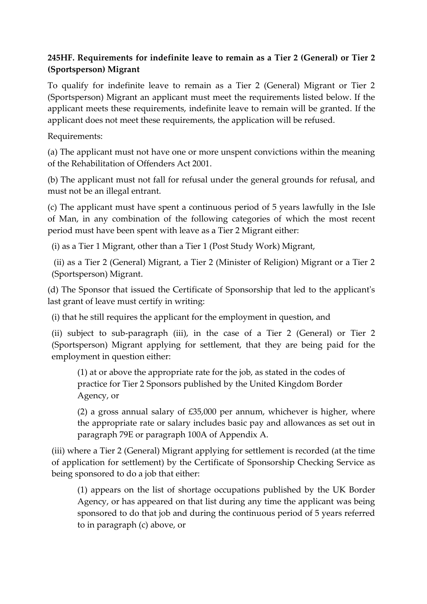# **245HF. Requirements for indefinite leave to remain as a Tier 2 (General) or Tier 2 (Sportsperson) Migrant**

To qualify for indefinite leave to remain as a Tier 2 (General) Migrant or Tier 2 (Sportsperson) Migrant an applicant must meet the requirements listed below. If the applicant meets these requirements, indefinite leave to remain will be granted. If the applicant does not meet these requirements, the application will be refused.

Requirements:

(a) The applicant must not have one or more unspent convictions within the meaning of the Rehabilitation of Offenders Act 2001.

(b) The applicant must not fall for refusal under the general grounds for refusal, and must not be an illegal entrant.

(c) The applicant must have spent a continuous period of 5 years lawfully in the Isle of Man, in any combination of the following categories of which the most recent period must have been spent with leave as a Tier 2 Migrant either:

(i) as a Tier 1 Migrant, other than a Tier 1 (Post Study Work) Migrant,

(ii) as a Tier 2 (General) Migrant, a Tier 2 (Minister of Religion) Migrant or a Tier 2 (Sportsperson) Migrant.

(d) The Sponsor that issued the Certificate of Sponsorship that led to the applicant's last grant of leave must certify in writing:

(i) that he still requires the applicant for the employment in question, and

(ii) subject to sub-paragraph (iii), in the case of a Tier 2 (General) or Tier 2 (Sportsperson) Migrant applying for settlement, that they are being paid for the employment in question either:

(1) at or above the appropriate rate for the job, as stated in the codes of practice for Tier 2 Sponsors published by the United Kingdom Border Agency, or

(2) a gross annual salary of £35,000 per annum, whichever is higher, where the appropriate rate or salary includes basic pay and allowances as set out in paragraph 79E or paragraph 100A of Appendix A.

(iii) where a Tier 2 (General) Migrant applying for settlement is recorded (at the time of application for settlement) by the Certificate of Sponsorship Checking Service as being sponsored to do a job that either:

(1) appears on the list of shortage occupations published by the UK Border Agency, or has appeared on that list during any time the applicant was being sponsored to do that job and during the continuous period of 5 years referred to in paragraph (c) above, or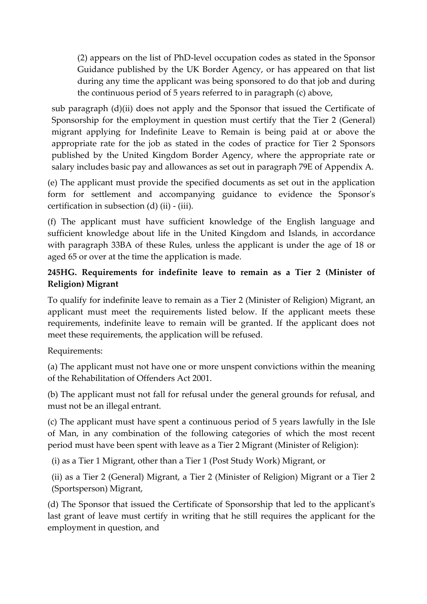(2) appears on the list of PhD-level occupation codes as stated in the Sponsor Guidance published by the UK Border Agency, or has appeared on that list during any time the applicant was being sponsored to do that job and during the continuous period of 5 years referred to in paragraph (c) above,

sub paragraph (d)(ii) does not apply and the Sponsor that issued the Certificate of Sponsorship for the employment in question must certify that the Tier 2 (General) migrant applying for Indefinite Leave to Remain is being paid at or above the appropriate rate for the job as stated in the codes of practice for Tier 2 Sponsors published by the United Kingdom Border Agency, where the appropriate rate or salary includes basic pay and allowances as set out in paragraph 79E of Appendix A.

(e) The applicant must provide the specified documents as set out in the application form for settlement and accompanying guidance to evidence the Sponsor's certification in subsection (d) (ii) - (iii).

(f) The applicant must have sufficient knowledge of the English language and sufficient knowledge about life in the United Kingdom and Islands, in accordance with paragraph 33BA of these Rules, unless the applicant is under the age of 18 or aged 65 or over at the time the application is made.

### **245HG. Requirements for indefinite leave to remain as a Tier 2 (Minister of Religion) Migrant**

To qualify for indefinite leave to remain as a Tier 2 (Minister of Religion) Migrant, an applicant must meet the requirements listed below. If the applicant meets these requirements, indefinite leave to remain will be granted. If the applicant does not meet these requirements, the application will be refused.

Requirements:

(a) The applicant must not have one or more unspent convictions within the meaning of the Rehabilitation of Offenders Act 2001.

(b) The applicant must not fall for refusal under the general grounds for refusal, and must not be an illegal entrant.

(c) The applicant must have spent a continuous period of 5 years lawfully in the Isle of Man, in any combination of the following categories of which the most recent period must have been spent with leave as a Tier 2 Migrant (Minister of Religion):

(i) as a Tier 1 Migrant, other than a Tier 1 (Post Study Work) Migrant, or

(ii) as a Tier 2 (General) Migrant, a Tier 2 (Minister of Religion) Migrant or a Tier 2 (Sportsperson) Migrant,

(d) The Sponsor that issued the Certificate of Sponsorship that led to the applicant's last grant of leave must certify in writing that he still requires the applicant for the employment in question, and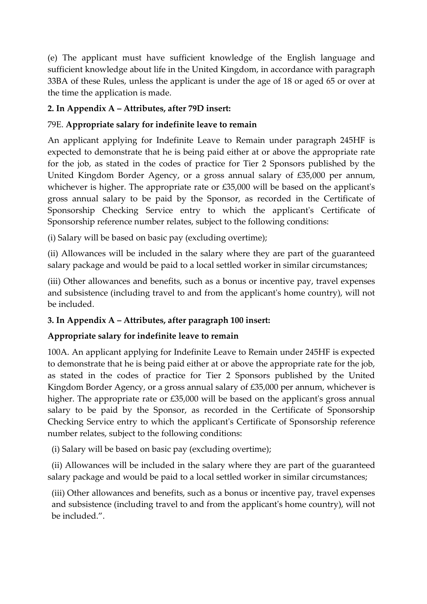(e) The applicant must have sufficient knowledge of the English language and sufficient knowledge about life in the United Kingdom, in accordance with paragraph 33BA of these Rules, unless the applicant is under the age of 18 or aged 65 or over at the time the application is made.

# **2. In Appendix A – Attributes, after 79D insert:**

# 79E. **Appropriate salary for indefinite leave to remain**

An applicant applying for Indefinite Leave to Remain under paragraph 245HF is expected to demonstrate that he is being paid either at or above the appropriate rate for the job, as stated in the codes of practice for Tier 2 Sponsors published by the United Kingdom Border Agency, or a gross annual salary of £35,000 per annum, whichever is higher. The appropriate rate or £35,000 will be based on the applicant's gross annual salary to be paid by the Sponsor, as recorded in the Certificate of Sponsorship Checking Service entry to which the applicant's Certificate of Sponsorship reference number relates, subject to the following conditions:

(i) Salary will be based on basic pay (excluding overtime);

(ii) Allowances will be included in the salary where they are part of the guaranteed salary package and would be paid to a local settled worker in similar circumstances;

(iii) Other allowances and benefits, such as a bonus or incentive pay, travel expenses and subsistence (including travel to and from the applicant's home country), will not be included.

### **3. In Appendix A – Attributes, after paragraph 100 insert:**

# **Appropriate salary for indefinite leave to remain**

100A. An applicant applying for Indefinite Leave to Remain under 245HF is expected to demonstrate that he is being paid either at or above the appropriate rate for the job, as stated in the codes of practice for Tier 2 Sponsors published by the United Kingdom Border Agency, or a gross annual salary of £35,000 per annum, whichever is higher. The appropriate rate or £35,000 will be based on the applicant's gross annual salary to be paid by the Sponsor, as recorded in the Certificate of Sponsorship Checking Service entry to which the applicant's Certificate of Sponsorship reference number relates, subject to the following conditions:

(i) Salary will be based on basic pay (excluding overtime);

(ii) Allowances will be included in the salary where they are part of the guaranteed salary package and would be paid to a local settled worker in similar circumstances;

(iii) Other allowances and benefits, such as a bonus or incentive pay, travel expenses and subsistence (including travel to and from the applicant's home country), will not be included.".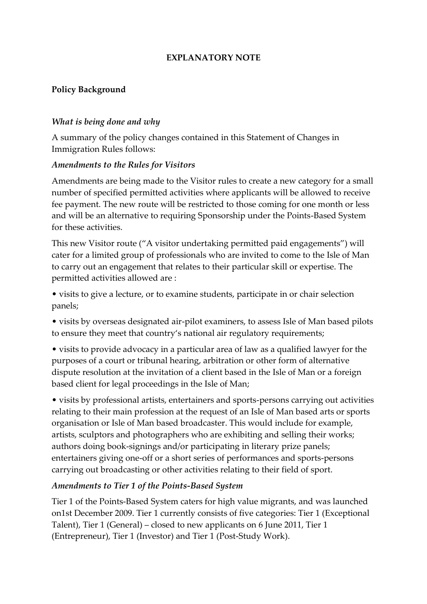#### **EXPLANATORY NOTE**

### **Policy Background**

#### *What is being done and why*

A summary of the policy changes contained in this Statement of Changes in Immigration Rules follows:

#### *Amendments to the Rules for Visitors*

Amendments are being made to the Visitor rules to create a new category for a small number of specified permitted activities where applicants will be allowed to receive fee payment. The new route will be restricted to those coming for one month or less and will be an alternative to requiring Sponsorship under the Points-Based System for these activities.

This new Visitor route ("A visitor undertaking permitted paid engagements") will cater for a limited group of professionals who are invited to come to the Isle of Man to carry out an engagement that relates to their particular skill or expertise. The permitted activities allowed are :

• visits to give a lecture, or to examine students, participate in or chair selection panels;

• visits by overseas designated air-pilot examiners, to assess Isle of Man based pilots to ensure they meet that country's national air regulatory requirements;

• visits to provide advocacy in a particular area of law as a qualified lawyer for the purposes of a court or tribunal hearing, arbitration or other form of alternative dispute resolution at the invitation of a client based in the Isle of Man or a foreign based client for legal proceedings in the Isle of Man;

• visits by professional artists, entertainers and sports-persons carrying out activities relating to their main profession at the request of an Isle of Man based arts or sports organisation or Isle of Man based broadcaster. This would include for example, artists, sculptors and photographers who are exhibiting and selling their works; authors doing book-signings and/or participating in literary prize panels; entertainers giving one-off or a short series of performances and sports-persons carrying out broadcasting or other activities relating to their field of sport.

### *Amendments to Tier 1 of the Points-Based System*

Tier 1 of the Points-Based System caters for high value migrants, and was launched on1st December 2009. Tier 1 currently consists of five categories: Tier 1 (Exceptional Talent), Tier 1 (General) – closed to new applicants on 6 June 2011, Tier 1 (Entrepreneur), Tier 1 (Investor) and Tier 1 (Post-Study Work).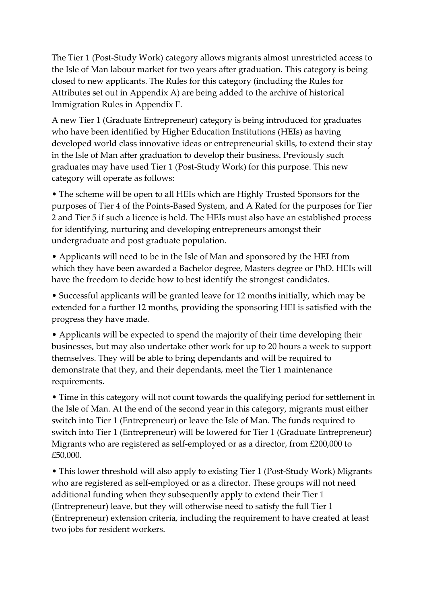The Tier 1 (Post-Study Work) category allows migrants almost unrestricted access to the Isle of Man labour market for two years after graduation. This category is being closed to new applicants. The Rules for this category (including the Rules for Attributes set out in Appendix A) are being added to the archive of historical Immigration Rules in Appendix F.

A new Tier 1 (Graduate Entrepreneur) category is being introduced for graduates who have been identified by Higher Education Institutions (HEIs) as having developed world class innovative ideas or entrepreneurial skills, to extend their stay in the Isle of Man after graduation to develop their business. Previously such graduates may have used Tier 1 (Post-Study Work) for this purpose. This new category will operate as follows:

• The scheme will be open to all HEIs which are Highly Trusted Sponsors for the purposes of Tier 4 of the Points-Based System, and A Rated for the purposes for Tier 2 and Tier 5 if such a licence is held. The HEIs must also have an established process for identifying, nurturing and developing entrepreneurs amongst their undergraduate and post graduate population.

• Applicants will need to be in the Isle of Man and sponsored by the HEI from which they have been awarded a Bachelor degree, Masters degree or PhD. HEIs will have the freedom to decide how to best identify the strongest candidates.

• Successful applicants will be granted leave for 12 months initially, which may be extended for a further 12 months, providing the sponsoring HEI is satisfied with the progress they have made.

• Applicants will be expected to spend the majority of their time developing their businesses, but may also undertake other work for up to 20 hours a week to support themselves. They will be able to bring dependants and will be required to demonstrate that they, and their dependants, meet the Tier 1 maintenance requirements.

• Time in this category will not count towards the qualifying period for settlement in the Isle of Man. At the end of the second year in this category, migrants must either switch into Tier 1 (Entrepreneur) or leave the Isle of Man. The funds required to switch into Tier 1 (Entrepreneur) will be lowered for Tier 1 (Graduate Entrepreneur) Migrants who are registered as self-employed or as a director, from £200,000 to £50,000.

• This lower threshold will also apply to existing Tier 1 (Post-Study Work) Migrants who are registered as self-employed or as a director. These groups will not need additional funding when they subsequently apply to extend their Tier 1 (Entrepreneur) leave, but they will otherwise need to satisfy the full Tier 1 (Entrepreneur) extension criteria, including the requirement to have created at least two jobs for resident workers.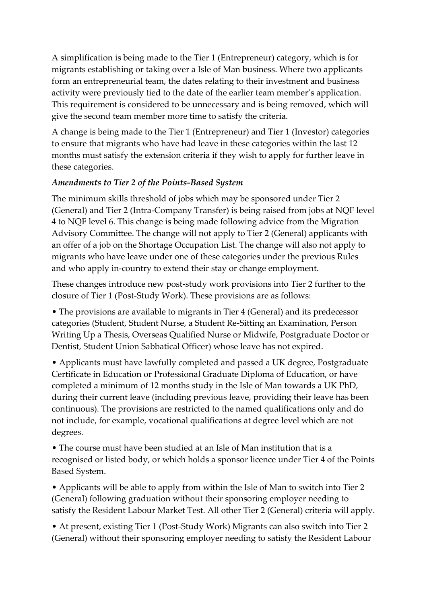A simplification is being made to the Tier 1 (Entrepreneur) category, which is for migrants establishing or taking over a Isle of Man business. Where two applicants form an entrepreneurial team, the dates relating to their investment and business activity were previously tied to the date of the earlier team member's application. This requirement is considered to be unnecessary and is being removed, which will give the second team member more time to satisfy the criteria.

A change is being made to the Tier 1 (Entrepreneur) and Tier 1 (Investor) categories to ensure that migrants who have had leave in these categories within the last 12 months must satisfy the extension criteria if they wish to apply for further leave in these categories.

# *Amendments to Tier 2 of the Points-Based System*

The minimum skills threshold of jobs which may be sponsored under Tier 2 (General) and Tier 2 (Intra-Company Transfer) is being raised from jobs at NQF level 4 to NQF level 6. This change is being made following advice from the Migration Advisory Committee. The change will not apply to Tier 2 (General) applicants with an offer of a job on the Shortage Occupation List. The change will also not apply to migrants who have leave under one of these categories under the previous Rules and who apply in-country to extend their stay or change employment.

These changes introduce new post-study work provisions into Tier 2 further to the closure of Tier 1 (Post-Study Work). These provisions are as follows:

• The provisions are available to migrants in Tier 4 (General) and its predecessor categories (Student, Student Nurse, a Student Re-Sitting an Examination, Person Writing Up a Thesis, Overseas Qualified Nurse or Midwife, Postgraduate Doctor or Dentist, Student Union Sabbatical Officer) whose leave has not expired.

• Applicants must have lawfully completed and passed a UK degree, Postgraduate Certificate in Education or Professional Graduate Diploma of Education, or have completed a minimum of 12 months study in the Isle of Man towards a UK PhD, during their current leave (including previous leave, providing their leave has been continuous). The provisions are restricted to the named qualifications only and do not include, for example, vocational qualifications at degree level which are not degrees.

• The course must have been studied at an Isle of Man institution that is a recognised or listed body, or which holds a sponsor licence under Tier 4 of the Points Based System.

• Applicants will be able to apply from within the Isle of Man to switch into Tier 2 (General) following graduation without their sponsoring employer needing to satisfy the Resident Labour Market Test. All other Tier 2 (General) criteria will apply.

• At present, existing Tier 1 (Post-Study Work) Migrants can also switch into Tier 2 (General) without their sponsoring employer needing to satisfy the Resident Labour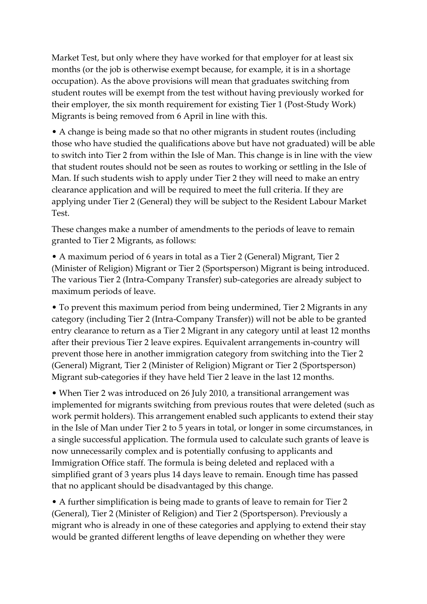Market Test, but only where they have worked for that employer for at least six months (or the job is otherwise exempt because, for example, it is in a shortage occupation). As the above provisions will mean that graduates switching from student routes will be exempt from the test without having previously worked for their employer, the six month requirement for existing Tier 1 (Post-Study Work) Migrants is being removed from 6 April in line with this.

• A change is being made so that no other migrants in student routes (including those who have studied the qualifications above but have not graduated) will be able to switch into Tier 2 from within the Isle of Man. This change is in line with the view that student routes should not be seen as routes to working or settling in the Isle of Man. If such students wish to apply under Tier 2 they will need to make an entry clearance application and will be required to meet the full criteria. If they are applying under Tier 2 (General) they will be subject to the Resident Labour Market Test.

These changes make a number of amendments to the periods of leave to remain granted to Tier 2 Migrants, as follows:

• A maximum period of 6 years in total as a Tier 2 (General) Migrant, Tier 2 (Minister of Religion) Migrant or Tier 2 (Sportsperson) Migrant is being introduced. The various Tier 2 (Intra-Company Transfer) sub-categories are already subject to maximum periods of leave.

• To prevent this maximum period from being undermined, Tier 2 Migrants in any category (including Tier 2 (Intra-Company Transfer)) will not be able to be granted entry clearance to return as a Tier 2 Migrant in any category until at least 12 months after their previous Tier 2 leave expires. Equivalent arrangements in-country will prevent those here in another immigration category from switching into the Tier 2 (General) Migrant, Tier 2 (Minister of Religion) Migrant or Tier 2 (Sportsperson) Migrant sub-categories if they have held Tier 2 leave in the last 12 months.

• When Tier 2 was introduced on 26 July 2010, a transitional arrangement was implemented for migrants switching from previous routes that were deleted (such as work permit holders). This arrangement enabled such applicants to extend their stay in the Isle of Man under Tier 2 to 5 years in total, or longer in some circumstances, in a single successful application. The formula used to calculate such grants of leave is now unnecessarily complex and is potentially confusing to applicants and Immigration Office staff. The formula is being deleted and replaced with a simplified grant of 3 years plus 14 days leave to remain. Enough time has passed that no applicant should be disadvantaged by this change.

• A further simplification is being made to grants of leave to remain for Tier 2 (General), Tier 2 (Minister of Religion) and Tier 2 (Sportsperson). Previously a migrant who is already in one of these categories and applying to extend their stay would be granted different lengths of leave depending on whether they were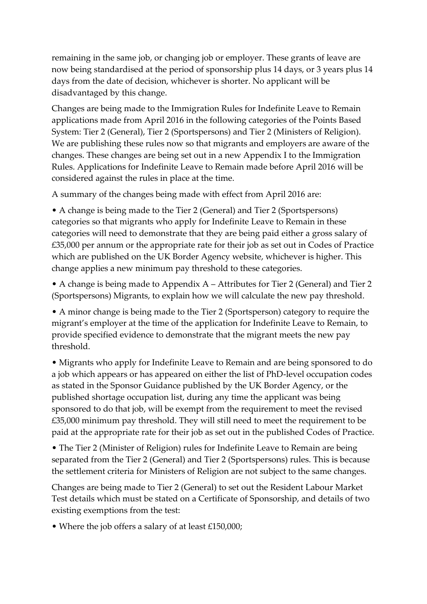remaining in the same job, or changing job or employer. These grants of leave are now being standardised at the period of sponsorship plus 14 days, or 3 years plus 14 days from the date of decision, whichever is shorter. No applicant will be disadvantaged by this change.

Changes are being made to the Immigration Rules for Indefinite Leave to Remain applications made from April 2016 in the following categories of the Points Based System: Tier 2 (General), Tier 2 (Sportspersons) and Tier 2 (Ministers of Religion). We are publishing these rules now so that migrants and employers are aware of the changes. These changes are being set out in a new Appendix I to the Immigration Rules. Applications for Indefinite Leave to Remain made before April 2016 will be considered against the rules in place at the time.

A summary of the changes being made with effect from April 2016 are:

• A change is being made to the Tier 2 (General) and Tier 2 (Sportspersons) categories so that migrants who apply for Indefinite Leave to Remain in these categories will need to demonstrate that they are being paid either a gross salary of £35,000 per annum or the appropriate rate for their job as set out in Codes of Practice which are published on the UK Border Agency website, whichever is higher. This change applies a new minimum pay threshold to these categories.

• A change is being made to Appendix A – Attributes for Tier 2 (General) and Tier 2 (Sportspersons) Migrants, to explain how we will calculate the new pay threshold.

• A minor change is being made to the Tier 2 (Sportsperson) category to require the migrant's employer at the time of the application for Indefinite Leave to Remain, to provide specified evidence to demonstrate that the migrant meets the new pay threshold.

• Migrants who apply for Indefinite Leave to Remain and are being sponsored to do a job which appears or has appeared on either the list of PhD-level occupation codes as stated in the Sponsor Guidance published by the UK Border Agency, or the published shortage occupation list, during any time the applicant was being sponsored to do that job, will be exempt from the requirement to meet the revised £35,000 minimum pay threshold. They will still need to meet the requirement to be paid at the appropriate rate for their job as set out in the published Codes of Practice.

• The Tier 2 (Minister of Religion) rules for Indefinite Leave to Remain are being separated from the Tier 2 (General) and Tier 2 (Sportspersons) rules. This is because the settlement criteria for Ministers of Religion are not subject to the same changes.

Changes are being made to Tier 2 (General) to set out the Resident Labour Market Test details which must be stated on a Certificate of Sponsorship, and details of two existing exemptions from the test:

• Where the job offers a salary of at least £150,000;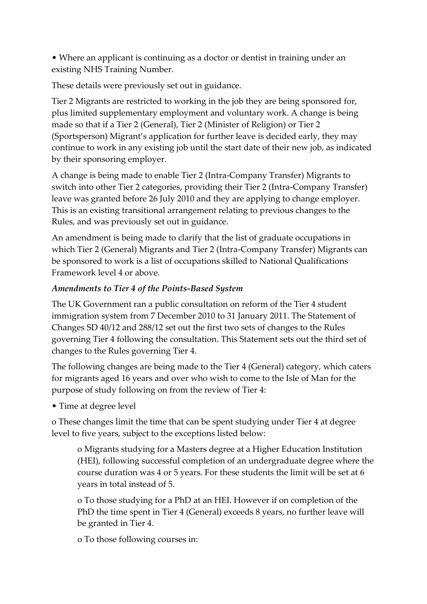• Where an applicant is continuing as a doctor or dentist in training under an existing NHS Training Number.

These details were previously set out in guidance.

Tier 2 Migrants are restricted to working in the job they are being sponsored for, plus limited supplementary employment and voluntary work. A change is being made so that if a Tier 2 (General), Tier 2 (Minister of Religion) or Tier 2 (Sportsperson) Migrant's application for further leave is decided early, they may continue to work in any existing job until the start date of their new job, as indicated by their sponsoring employer.

A change is being made to enable Tier 2 (Intra-Company Transfer) Migrants to switch into other Tier 2 categories, providing their Tier 2 (Intra-Company Transfer) leave was granted before 26 July 2010 and they are applying to change employer. This is an existing transitional arrangement relating to previous changes to the Rules, and was previously set out in guidance.

An amendment is being made to clarify that the list of graduate occupations in which Tier 2 (General) Migrants and Tier 2 (Intra-Company Transfer) Migrants can be sponsored to work is a list of occupations skilled to National Qualifications Framework level 4 or above.

# *Amendments to Tier 4 of the Points-Based System*

The UK Government ran a public consultation on reform of the Tier 4 student immigration system from 7 December 2010 to 31 January 2011. The Statement of Changes SD 40/12 and 288/12 set out the first two sets of changes to the Rules governing Tier 4 following the consultation. This Statement sets out the third set of changes to the Rules governing Tier 4.

The following changes are being made to the Tier 4 (General) category, which caters for migrants aged 16 years and over who wish to come to the Isle of Man for the purpose of study following on from the review of Tier 4:

• Time at degree level

o These changes limit the time that can be spent studying under Tier 4 at degree level to five years, subject to the exceptions listed below:

o Migrants studying for a Masters degree at a Higher Education Institution (HEI), following successful completion of an undergraduate degree where the course duration was 4 or 5 years. For these students the limit will be set at 6 years in total instead of 5.

o To those studying for a PhD at an HEI. However if on completion of the PhD the time spent in Tier 4 (General) exceeds 8 years, no further leave will be granted in Tier 4.

o To those following courses in: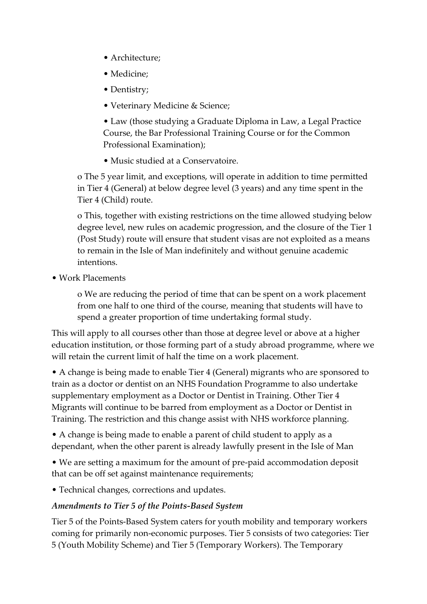- Architecture;
- Medicine;
- Dentistry;
- Veterinary Medicine & Science;

• Law (those studying a Graduate Diploma in Law, a Legal Practice Course, the Bar Professional Training Course or for the Common Professional Examination);

• Music studied at a Conservatoire.

o The 5 year limit, and exceptions, will operate in addition to time permitted in Tier 4 (General) at below degree level (3 years) and any time spent in the Tier 4 (Child) route.

o This, together with existing restrictions on the time allowed studying below degree level, new rules on academic progression, and the closure of the Tier 1 (Post Study) route will ensure that student visas are not exploited as a means to remain in the Isle of Man indefinitely and without genuine academic intentions.

• Work Placements

o We are reducing the period of time that can be spent on a work placement from one half to one third of the course, meaning that students will have to spend a greater proportion of time undertaking formal study.

This will apply to all courses other than those at degree level or above at a higher education institution, or those forming part of a study abroad programme, where we will retain the current limit of half the time on a work placement.

• A change is being made to enable Tier 4 (General) migrants who are sponsored to train as a doctor or dentist on an NHS Foundation Programme to also undertake supplementary employment as a Doctor or Dentist in Training. Other Tier 4 Migrants will continue to be barred from employment as a Doctor or Dentist in Training. The restriction and this change assist with NHS workforce planning.

• A change is being made to enable a parent of child student to apply as a dependant, when the other parent is already lawfully present in the Isle of Man

• We are setting a maximum for the amount of pre-paid accommodation deposit that can be off set against maintenance requirements;

• Technical changes, corrections and updates.

# *Amendments to Tier 5 of the Points-Based System*

Tier 5 of the Points-Based System caters for youth mobility and temporary workers coming for primarily non-economic purposes. Tier 5 consists of two categories: Tier 5 (Youth Mobility Scheme) and Tier 5 (Temporary Workers). The Temporary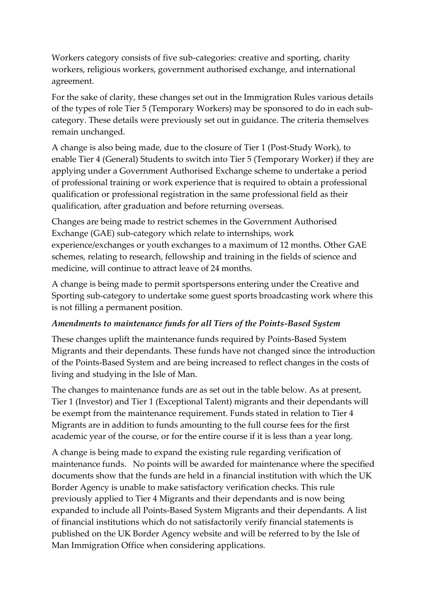Workers category consists of five sub-categories: creative and sporting, charity workers, religious workers, government authorised exchange, and international agreement.

For the sake of clarity, these changes set out in the Immigration Rules various details of the types of role Tier 5 (Temporary Workers) may be sponsored to do in each subcategory. These details were previously set out in guidance. The criteria themselves remain unchanged.

A change is also being made, due to the closure of Tier 1 (Post-Study Work), to enable Tier 4 (General) Students to switch into Tier 5 (Temporary Worker) if they are applying under a Government Authorised Exchange scheme to undertake a period of professional training or work experience that is required to obtain a professional qualification or professional registration in the same professional field as their qualification, after graduation and before returning overseas.

Changes are being made to restrict schemes in the Government Authorised Exchange (GAE) sub-category which relate to internships, work experience/exchanges or youth exchanges to a maximum of 12 months. Other GAE schemes, relating to research, fellowship and training in the fields of science and medicine, will continue to attract leave of 24 months.

A change is being made to permit sportspersons entering under the Creative and Sporting sub-category to undertake some guest sports broadcasting work where this is not filling a permanent position.

### *Amendments to maintenance funds for all Tiers of the Points-Based System*

These changes uplift the maintenance funds required by Points-Based System Migrants and their dependants. These funds have not changed since the introduction of the Points-Based System and are being increased to reflect changes in the costs of living and studying in the Isle of Man.

The changes to maintenance funds are as set out in the table below. As at present, Tier 1 (Investor) and Tier 1 (Exceptional Talent) migrants and their dependants will be exempt from the maintenance requirement. Funds stated in relation to Tier 4 Migrants are in addition to funds amounting to the full course fees for the first academic year of the course, or for the entire course if it is less than a year long.

A change is being made to expand the existing rule regarding verification of maintenance funds. No points will be awarded for maintenance where the specified documents show that the funds are held in a financial institution with which the UK Border Agency is unable to make satisfactory verification checks. This rule previously applied to Tier 4 Migrants and their dependants and is now being expanded to include all Points-Based System Migrants and their dependants. A list of financial institutions which do not satisfactorily verify financial statements is published on the UK Border Agency website and will be referred to by the Isle of Man Immigration Office when considering applications.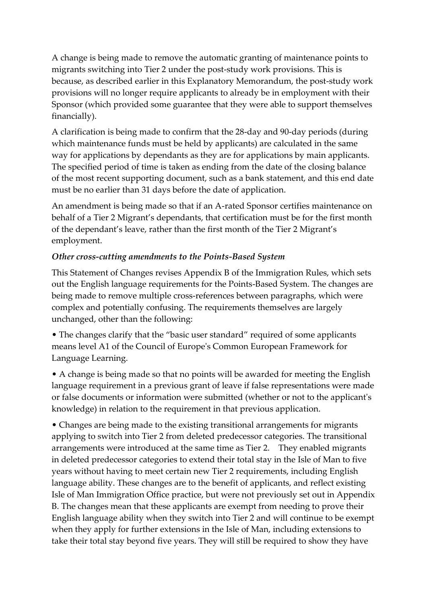A change is being made to remove the automatic granting of maintenance points to migrants switching into Tier 2 under the post-study work provisions. This is because, as described earlier in this Explanatory Memorandum, the post-study work provisions will no longer require applicants to already be in employment with their Sponsor (which provided some guarantee that they were able to support themselves financially).

A clarification is being made to confirm that the 28-day and 90-day periods (during which maintenance funds must be held by applicants) are calculated in the same way for applications by dependants as they are for applications by main applicants. The specified period of time is taken as ending from the date of the closing balance of the most recent supporting document, such as a bank statement, and this end date must be no earlier than 31 days before the date of application.

An amendment is being made so that if an A-rated Sponsor certifies maintenance on behalf of a Tier 2 Migrant's dependants, that certification must be for the first month of the dependant's leave, rather than the first month of the Tier 2 Migrant's employment.

### *Other cross-cutting amendments to the Points-Based System*

This Statement of Changes revises Appendix B of the Immigration Rules, which sets out the English language requirements for the Points-Based System. The changes are being made to remove multiple cross-references between paragraphs, which were complex and potentially confusing. The requirements themselves are largely unchanged, other than the following:

• The changes clarify that the "basic user standard" required of some applicants means level A1 of the Council of Europe's Common European Framework for Language Learning.

• A change is being made so that no points will be awarded for meeting the English language requirement in a previous grant of leave if false representations were made or false documents or information were submitted (whether or not to the applicant's knowledge) in relation to the requirement in that previous application.

• Changes are being made to the existing transitional arrangements for migrants applying to switch into Tier 2 from deleted predecessor categories. The transitional arrangements were introduced at the same time as Tier 2. They enabled migrants in deleted predecessor categories to extend their total stay in the Isle of Man to five years without having to meet certain new Tier 2 requirements, including English language ability. These changes are to the benefit of applicants, and reflect existing Isle of Man Immigration Office practice, but were not previously set out in Appendix B. The changes mean that these applicants are exempt from needing to prove their English language ability when they switch into Tier 2 and will continue to be exempt when they apply for further extensions in the Isle of Man, including extensions to take their total stay beyond five years. They will still be required to show they have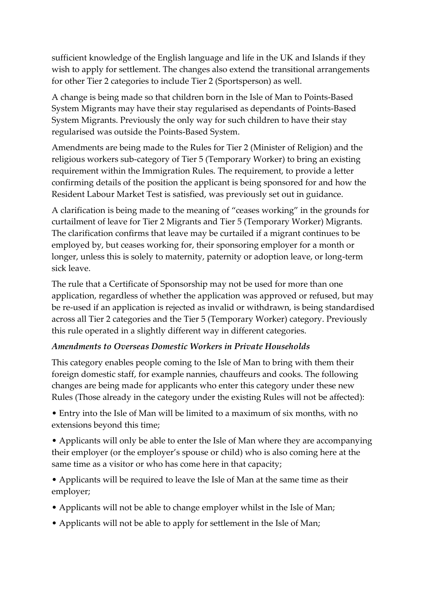sufficient knowledge of the English language and life in the UK and Islands if they wish to apply for settlement. The changes also extend the transitional arrangements for other Tier 2 categories to include Tier 2 (Sportsperson) as well.

A change is being made so that children born in the Isle of Man to Points-Based System Migrants may have their stay regularised as dependants of Points-Based System Migrants. Previously the only way for such children to have their stay regularised was outside the Points-Based System.

Amendments are being made to the Rules for Tier 2 (Minister of Religion) and the religious workers sub-category of Tier 5 (Temporary Worker) to bring an existing requirement within the Immigration Rules. The requirement, to provide a letter confirming details of the position the applicant is being sponsored for and how the Resident Labour Market Test is satisfied, was previously set out in guidance.

A clarification is being made to the meaning of "ceases working" in the grounds for curtailment of leave for Tier 2 Migrants and Tier 5 (Temporary Worker) Migrants. The clarification confirms that leave may be curtailed if a migrant continues to be employed by, but ceases working for, their sponsoring employer for a month or longer, unless this is solely to maternity, paternity or adoption leave, or long-term sick leave.

The rule that a Certificate of Sponsorship may not be used for more than one application, regardless of whether the application was approved or refused, but may be re-used if an application is rejected as invalid or withdrawn, is being standardised across all Tier 2 categories and the Tier 5 (Temporary Worker) category. Previously this rule operated in a slightly different way in different categories.

### *Amendments to Overseas Domestic Workers in Private Households*

This category enables people coming to the Isle of Man to bring with them their foreign domestic staff, for example nannies, chauffeurs and cooks. The following changes are being made for applicants who enter this category under these new Rules (Those already in the category under the existing Rules will not be affected):

• Entry into the Isle of Man will be limited to a maximum of six months, with no extensions beyond this time;

• Applicants will only be able to enter the Isle of Man where they are accompanying their employer (or the employer's spouse or child) who is also coming here at the same time as a visitor or who has come here in that capacity;

• Applicants will be required to leave the Isle of Man at the same time as their employer;

- Applicants will not be able to change employer whilst in the Isle of Man;
- Applicants will not be able to apply for settlement in the Isle of Man;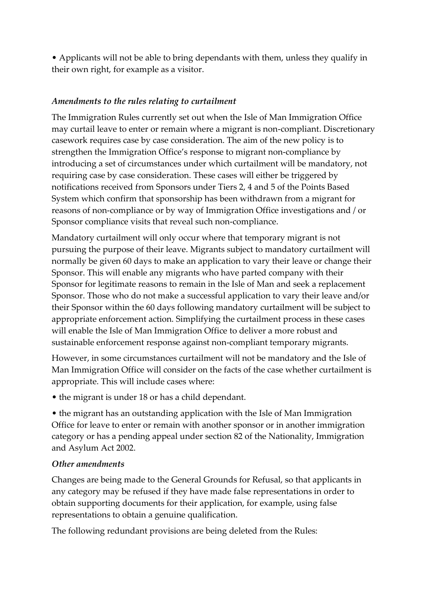• Applicants will not be able to bring dependants with them, unless they qualify in their own right, for example as a visitor.

### *Amendments to the rules relating to curtailment*

The Immigration Rules currently set out when the Isle of Man Immigration Office may curtail leave to enter or remain where a migrant is non-compliant. Discretionary casework requires case by case consideration. The aim of the new policy is to strengthen the Immigration Office's response to migrant non-compliance by introducing a set of circumstances under which curtailment will be mandatory, not requiring case by case consideration. These cases will either be triggered by notifications received from Sponsors under Tiers 2, 4 and 5 of the Points Based System which confirm that sponsorship has been withdrawn from a migrant for reasons of non-compliance or by way of Immigration Office investigations and / or Sponsor compliance visits that reveal such non-compliance.

Mandatory curtailment will only occur where that temporary migrant is not pursuing the purpose of their leave. Migrants subject to mandatory curtailment will normally be given 60 days to make an application to vary their leave or change their Sponsor. This will enable any migrants who have parted company with their Sponsor for legitimate reasons to remain in the Isle of Man and seek a replacement Sponsor. Those who do not make a successful application to vary their leave and/or their Sponsor within the 60 days following mandatory curtailment will be subject to appropriate enforcement action. Simplifying the curtailment process in these cases will enable the Isle of Man Immigration Office to deliver a more robust and sustainable enforcement response against non-compliant temporary migrants.

However, in some circumstances curtailment will not be mandatory and the Isle of Man Immigration Office will consider on the facts of the case whether curtailment is appropriate. This will include cases where:

• the migrant is under 18 or has a child dependant.

• the migrant has an outstanding application with the Isle of Man Immigration Office for leave to enter or remain with another sponsor or in another immigration category or has a pending appeal under section 82 of the Nationality, Immigration and Asylum Act 2002.

#### *Other amendments*

Changes are being made to the General Grounds for Refusal, so that applicants in any category may be refused if they have made false representations in order to obtain supporting documents for their application, for example, using false representations to obtain a genuine qualification.

The following redundant provisions are being deleted from the Rules: